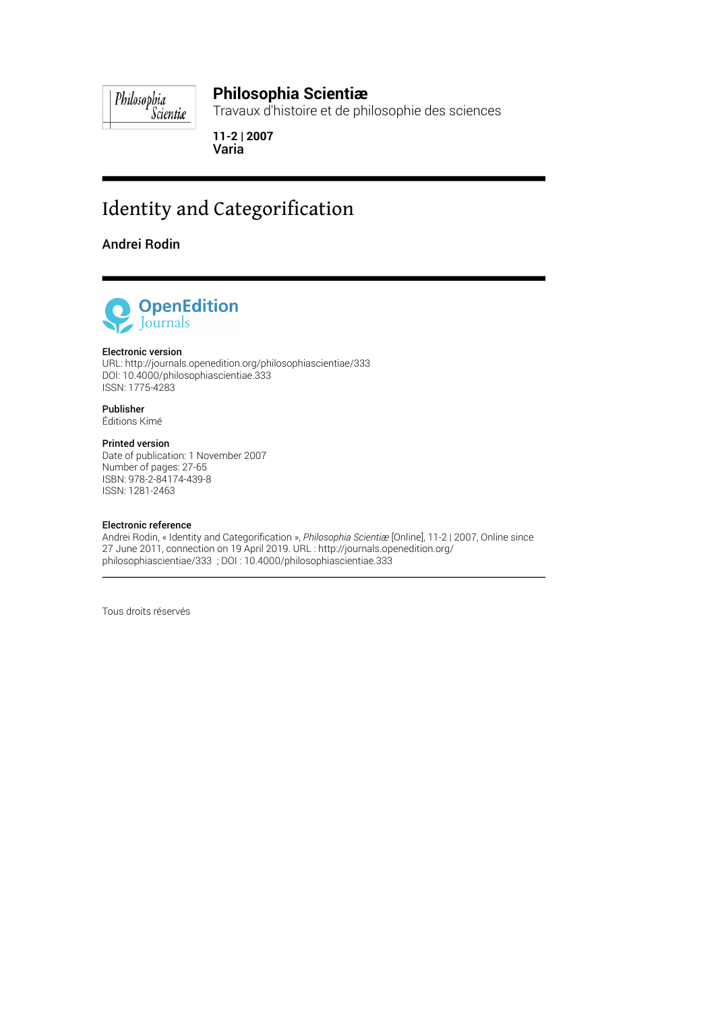

# **Philosophia Scientiæ**

Travaux d'histoire et de philosophie des sciences

**11-2 | 2007** Varia

# Identity and Categorification

Andrei Rodin



### Electronic version

URL:<http://journals.openedition.org/philosophiascientiae/333> DOI: 10.4000/philosophiascientiae.333 ISSN: 1775-4283

Publisher Éditions Kimé

### Printed version

Date of publication: 1 November 2007 Number of pages: 27-65 ISBN: 978-2-84174-439-8 ISSN: 1281-2463

### Electronic reference

Andrei Rodin, « Identity and Categorification », *Philosophia Scientiæ* [Online], 11-2 | 2007, Online since 27 June 2011, connection on 19 April 2019. URL : http://journals.openedition.org/ philosophiascientiae/333 ; DOI : 10.4000/philosophiascientiae.333

Tous droits réservés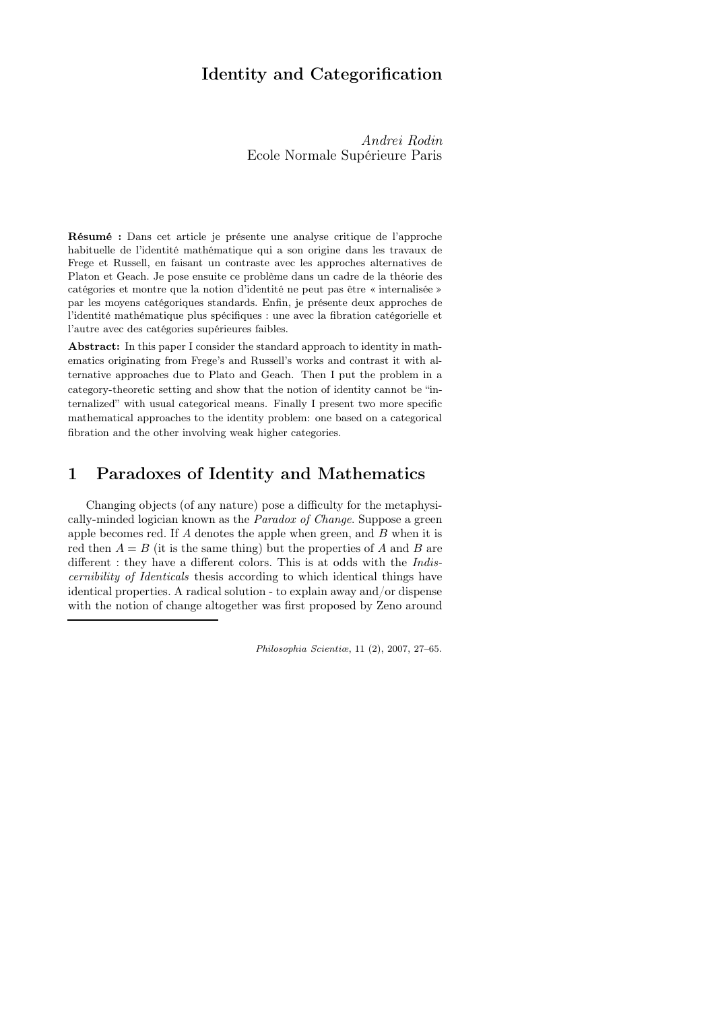# Identity and Categorification

Andrei Rodin Ecole Normale Supérieure Paris

Résumé : Dans cet article je présente une analyse critique de l'approche habituelle de l'identité mathématique qui a son origine dans les travaux de Frege et Russell, en faisant un contraste avec les approches alternatives de Platon et Geach. Je pose ensuite ce problème dans un cadre de la théorie des catégories et montre que la notion d'identité ne peut pas être « internalisée » par les moyens catégoriques standards. Enfin, je présente deux approches de l'identité mathématique plus spécifiques : une avec la fibration catégorielle et l'autre avec des catégories supérieures faibles.

Abstract: In this paper I consider the standard approach to identity in mathematics originating from Frege's and Russell's works and contrast it with alternative approaches due to Plato and Geach. Then I put the problem in a category-theoretic setting and show that the notion of identity cannot be "internalized" with usual categorical means. Finally I present two more specific mathematical approaches to the identity problem: one based on a categorical fibration and the other involving weak higher categories.

# 1 Paradoxes of Identity and Mathematics

Changing objects (of any nature) pose a difficulty for the metaphysically-minded logician known as the Paradox of Change. Suppose a green apple becomes red. If  $A$  denotes the apple when green, and  $B$  when it is red then  $A = B$  (it is the same thing) but the properties of A and B are different : they have a different colors. This is at odds with the *Indis*cernibility of Identicals thesis according to which identical things have identical properties. A radical solution - to explain away and/or dispense with the notion of change altogether was first proposed by Zeno around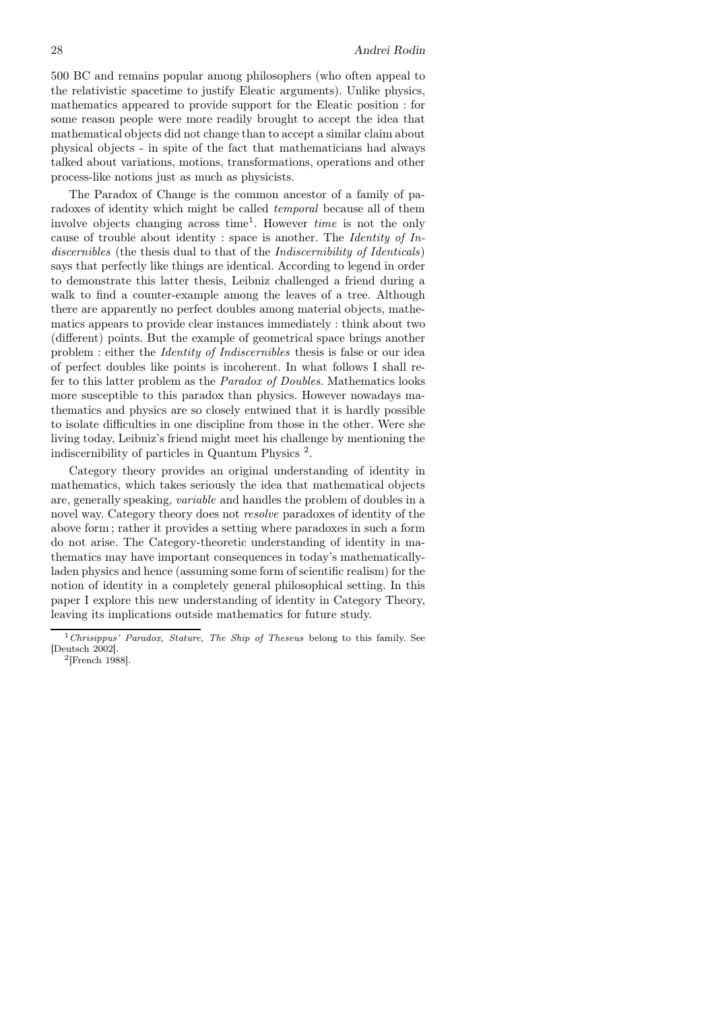500 BC and remains popular among philosophers (who often appeal to the relativistic spacetime to justify Eleatic arguments). Unlike physics, mathematics appeared to provide support for the Eleatic position : for some reason people were more readily brought to accept the idea that mathematical objects did not change than to accept a similar claim about physical objects - in spite of the fact that mathematicians had always talked about variations, motions, transformations, operations and other process-like notions just as much as physicists.

The Paradox of Change is the common ancestor of a family of paradoxes of identity which might be called *temporal* because all of them involve objects changing across time<sup>1</sup>. However *time* is not the only cause of trouble about identity : space is another. The Identity of Indiscernibles (the thesis dual to that of the *Indiscernibility of Identicals*) says that perfectly like things are identical. According to legend in order to demonstrate this latter thesis, Leibniz challenged a friend during a walk to find a counter-example among the leaves of a tree. Although there are apparently no perfect doubles among material objects, mathematics appears to provide clear instances immediately : think about two (different) points. But the example of geometrical space brings another problem: either the *Identity of Indiscernibles* thesis is false or our idea of perfect doubles like points is incoherent. In what follows I shall refer to this latter problem as the Paradox of Doubles. Mathematics looks more susceptible to this paradox than physics. However nowadays mathematics and physics are so closely entwined that it is hardly possible to isolate difficulties in one discipline from those in the other. Were she living today, Leibniz's friend might meet his challenge by mentioning the indiscernibility of particles in Quantum Physics <sup>2</sup> .

Category theory provides an original understanding of identity in mathematics, which takes seriously the idea that mathematical objects are, generally speaking, variable and handles the problem of doubles in a novel way. Category theory does not *resolve* paradoxes of identity of the above form ; rather it provides a setting where paradoxes in such a form do not arise. The Category-theoretic understanding of identity in mathematics may have important consequences in today's mathematicallyladen physics and hence (assuming some form of scientific realism) for the notion of identity in a completely general philosophical setting. In this paper I explore this new understanding of identity in Category Theory, leaving its implications outside mathematics for future study.

 $1$ Chrisippus' Paradox, Stature, The Ship of Theseus belong to this family. See [Deutsch 2002].

<sup>2</sup> [French 1988].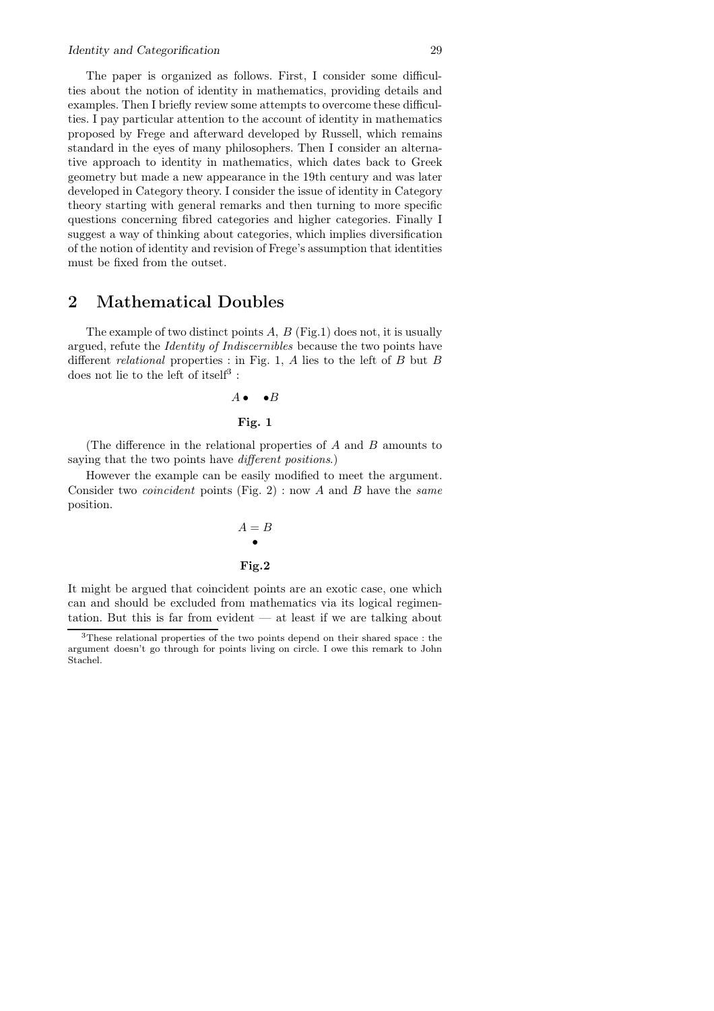The paper is organized as follows. First, I consider some difficulties about the notion of identity in mathematics, providing details and examples. Then I briefly review some attempts to overcome these difficulties. I pay particular attention to the account of identity in mathematics proposed by Frege and afterward developed by Russell, which remains standard in the eyes of many philosophers. Then I consider an alternative approach to identity in mathematics, which dates back to Greek geometry but made a new appearance in the 19th century and was later developed in Category theory. I consider the issue of identity in Category theory starting with general remarks and then turning to more specific questions concerning fibred categories and higher categories. Finally I suggest a way of thinking about categories, which implies diversification of the notion of identity and revision of Frege's assumption that identities must be fixed from the outset.

### 2 Mathematical Doubles

The example of two distinct points  $A, B$  (Fig.1) does not, it is usually argued, refute the Identity of Indiscernibles because the two points have different *relational* properties : in Fig. 1, A lies to the left of B but B does not lie to the left of itself<sup>3</sup> :

### $A \bullet \bullet B$

### Fig. 1

(The difference in the relational properties of A and B amounts to saying that the two points have *different positions*.)

However the example can be easily modified to meet the argument. Consider two *coincident* points (Fig. 2) : now A and B have the *same* position.

$$
A = B
$$

### Fig.2

It might be argued that coincident points are an exotic case, one which can and should be excluded from mathematics via its logical regimentation. But this is far from evident — at least if we are talking about

<sup>3</sup>These relational properties of the two points depend on their shared space : the argument doesn't go through for points living on circle. I owe this remark to John Stachel.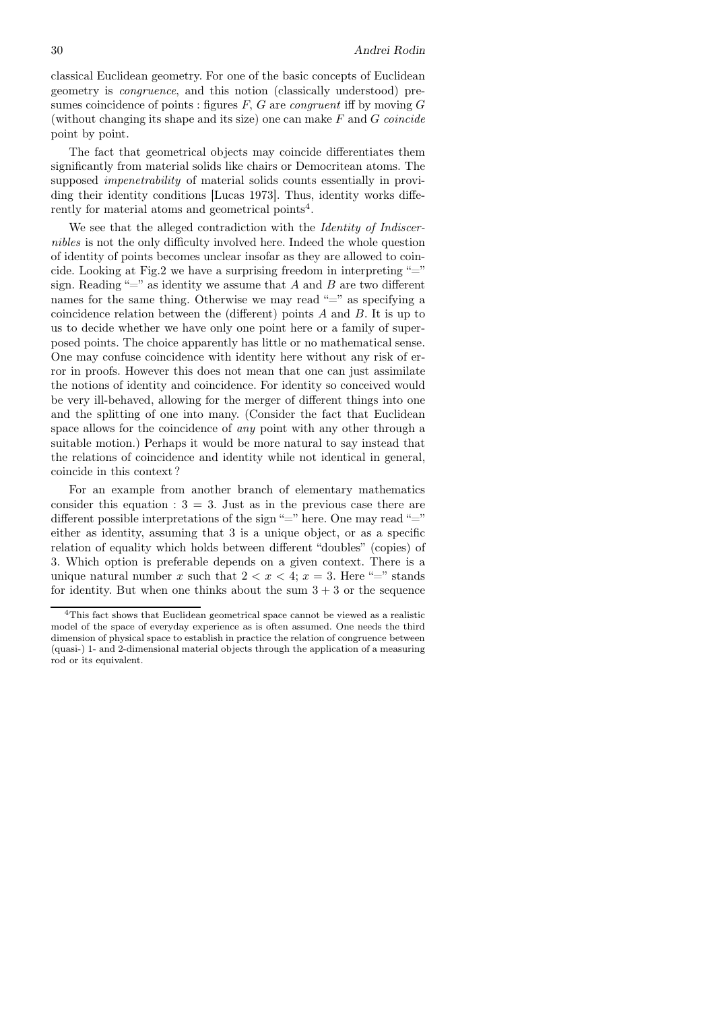classical Euclidean geometry. For one of the basic concepts of Euclidean geometry is congruence, and this notion (classically understood) presumes coincidence of points : figures  $F$ ,  $G$  are *congruent* iff by moving  $G$ (without changing its shape and its size) one can make  $F$  and  $G$  coincide point by point.

The fact that geometrical objects may coincide differentiates them significantly from material solids like chairs or Democritean atoms. The supposed *impenetrability* of material solids counts essentially in providing their identity conditions [Lucas 1973]. Thus, identity works differently for material atoms and geometrical points<sup>4</sup>.

We see that the alleged contradiction with the *Identity of Indiscer*nibles is not the only difficulty involved here. Indeed the whole question of identity of points becomes unclear insofar as they are allowed to coincide. Looking at Fig.2 we have a surprising freedom in interpreting  $\equiv$ " sign. Reading "=" as identity we assume that A and B are two different names for the same thing. Otherwise we may read "=" as specifying a coincidence relation between the (different) points A and B. It is up to us to decide whether we have only one point here or a family of superposed points. The choice apparently has little or no mathematical sense. One may confuse coincidence with identity here without any risk of error in proofs. However this does not mean that one can just assimilate the notions of identity and coincidence. For identity so conceived would be very ill-behaved, allowing for the merger of different things into one and the splitting of one into many. (Consider the fact that Euclidean space allows for the coincidence of *any* point with any other through a suitable motion.) Perhaps it would be more natural to say instead that the relations of coincidence and identity while not identical in general, coincide in this context ?

For an example from another branch of elementary mathematics consider this equation :  $3 = 3$ . Just as in the previous case there are different possible interpretations of the sign "=" here. One may read "=" either as identity, assuming that 3 is a unique object, or as a specific relation of equality which holds between different "doubles" (copies) of 3. Which option is preferable depends on a given context. There is a unique natural number x such that  $2 < x < 4$ ;  $x = 3$ . Here "=" stands for identity. But when one thinks about the sum  $3 + 3$  or the sequence

<sup>4</sup>This fact shows that Euclidean geometrical space cannot be viewed as a realistic model of the space of everyday experience as is often assumed. One needs the third dimension of physical space to establish in practice the relation of congruence between (quasi-) 1- and 2-dimensional material objects through the application of a measuring rod or its equivalent.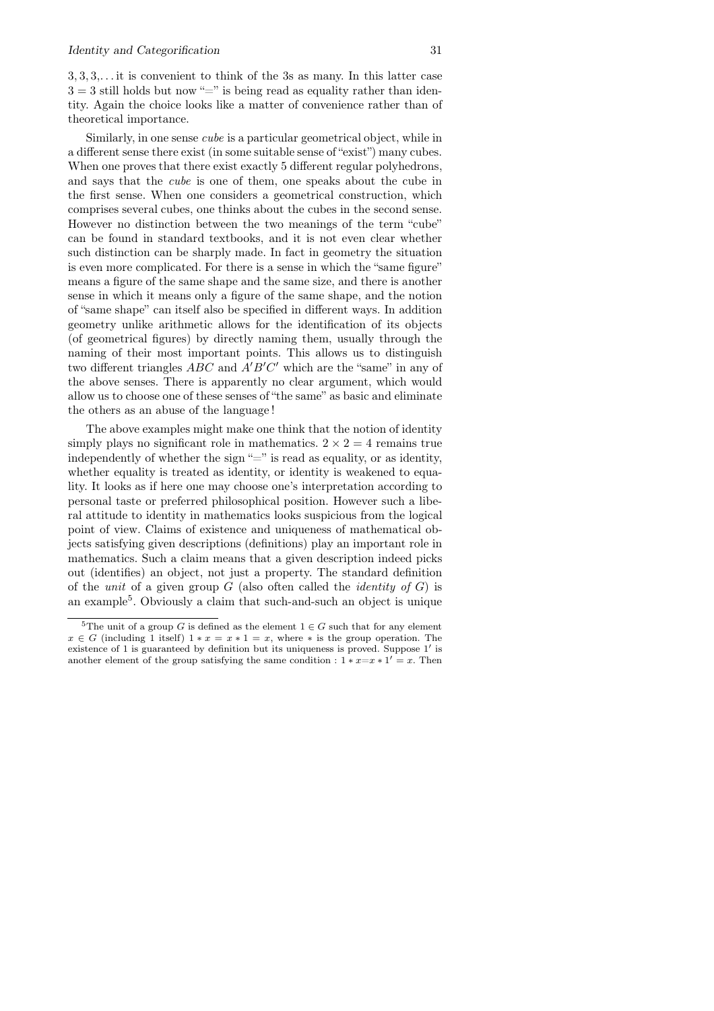3, 3, 3,. . . it is convenient to think of the 3s as many. In this latter case  $3 = 3$  still holds but now "=" is being read as equality rather than identity. Again the choice looks like a matter of convenience rather than of theoretical importance.

Similarly, in one sense cube is a particular geometrical object, while in a different sense there exist (in some suitable sense of "exist") many cubes. When one proves that there exist exactly 5 different regular polyhedrons, and says that the cube is one of them, one speaks about the cube in the first sense. When one considers a geometrical construction, which comprises several cubes, one thinks about the cubes in the second sense. However no distinction between the two meanings of the term "cube" can be found in standard textbooks, and it is not even clear whether such distinction can be sharply made. In fact in geometry the situation is even more complicated. For there is a sense in which the "same figure" means a figure of the same shape and the same size, and there is another sense in which it means only a figure of the same shape, and the notion of "same shape" can itself also be specified in different ways. In addition geometry unlike arithmetic allows for the identification of its objects (of geometrical figures) by directly naming them, usually through the naming of their most important points. This allows us to distinguish two different triangles  $ABC$  and  $A'B'C'$  which are the "same" in any of the above senses. There is apparently no clear argument, which would allow us to choose one of these senses of "the same" as basic and eliminate the others as an abuse of the language !

The above examples might make one think that the notion of identity simply plays no significant role in mathematics.  $2 \times 2 = 4$  remains true independently of whether the sign "=" is read as equality, or as identity, whether equality is treated as identity, or identity is weakened to equality. It looks as if here one may choose one's interpretation according to personal taste or preferred philosophical position. However such a liberal attitude to identity in mathematics looks suspicious from the logical point of view. Claims of existence and uniqueness of mathematical objects satisfying given descriptions (definitions) play an important role in mathematics. Such a claim means that a given description indeed picks out (identifies) an object, not just a property. The standard definition of the unit of a given group  $G$  (also often called the *identity of G*) is an example<sup>5</sup> . Obviously a claim that such-and-such an object is unique

<sup>&</sup>lt;sup>5</sup>The unit of a group G is defined as the element  $1 \in G$  such that for any element  $x \in G$  (including 1 itself)  $1 * x = x * 1 = x$ , where  $*$  is the group operation. The existence of 1 is guaranteed by definition but its uniqueness is proved. Suppose 1' is another element of the group satisfying the same condition :  $1 * x = x * 1' = x$ . Then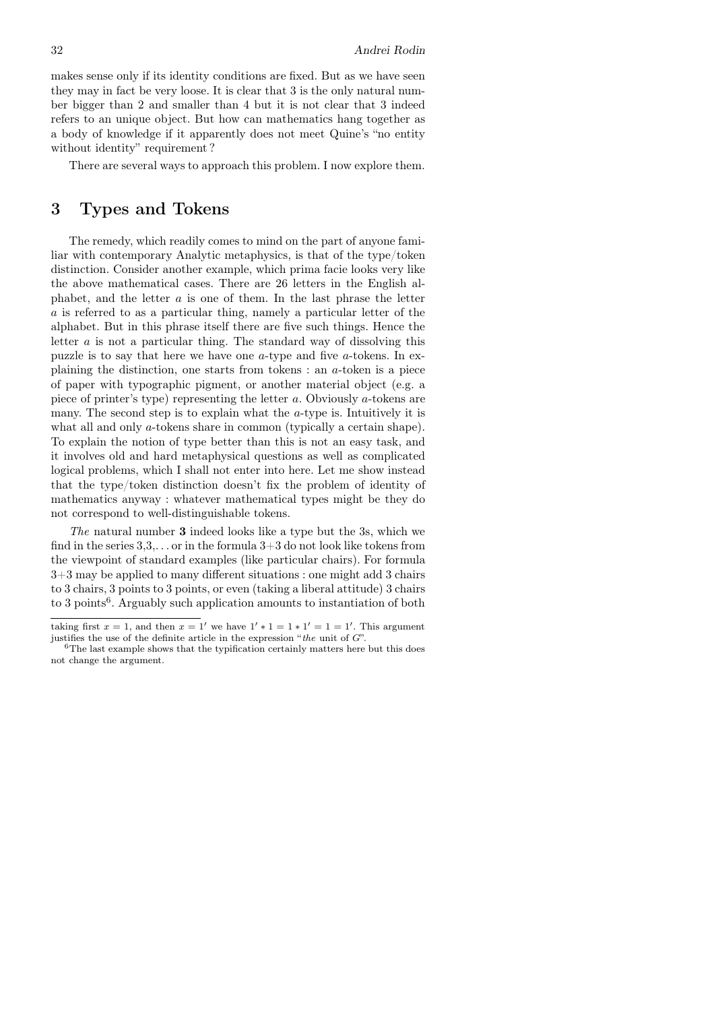makes sense only if its identity conditions are fixed. But as we have seen they may in fact be very loose. It is clear that 3 is the only natural number bigger than 2 and smaller than 4 but it is not clear that 3 indeed refers to an unique object. But how can mathematics hang together as a body of knowledge if it apparently does not meet Quine's "no entity without identity" requirement?

There are several ways to approach this problem. I now explore them.

## 3 Types and Tokens

The remedy, which readily comes to mind on the part of anyone familiar with contemporary Analytic metaphysics, is that of the type/token distinction. Consider another example, which prima facie looks very like the above mathematical cases. There are 26 letters in the English alphabet, and the letter  $a$  is one of them. In the last phrase the letter a is referred to as a particular thing, namely a particular letter of the alphabet. But in this phrase itself there are five such things. Hence the letter a is not a particular thing. The standard way of dissolving this puzzle is to say that here we have one a-type and five a-tokens. In explaining the distinction, one starts from tokens : an a-token is a piece of paper with typographic pigment, or another material object (e.g. a piece of printer's type) representing the letter  $a$ . Obviously  $a$ -tokens are many. The second step is to explain what the  $a$ -type is. Intuitively it is what all and only a-tokens share in common (typically a certain shape). To explain the notion of type better than this is not an easy task, and it involves old and hard metaphysical questions as well as complicated logical problems, which I shall not enter into here. Let me show instead that the type/token distinction doesn't fix the problem of identity of mathematics anyway : whatever mathematical types might be they do not correspond to well-distinguishable tokens.

The natural number 3 indeed looks like a type but the 3s, which we find in the series  $3,3,...$  or in the formula  $3+3$  do not look like tokens from the viewpoint of standard examples (like particular chairs). For formula 3+3 may be applied to many different situations : one might add 3 chairs to 3 chairs, 3 points to 3 points, or even (taking a liberal attitude) 3 chairs to 3 points<sup>6</sup>. Arguably such application amounts to instantiation of both

taking first  $x = 1$ , and then  $x = 1'$  we have  $1' * 1 = 1 * 1' = 1 = 1'$ . This argument justifies the use of the definite article in the expression "the unit of  $G$ ".

 $6$ The last example shows that the typification certainly matters here but this does not change the argument.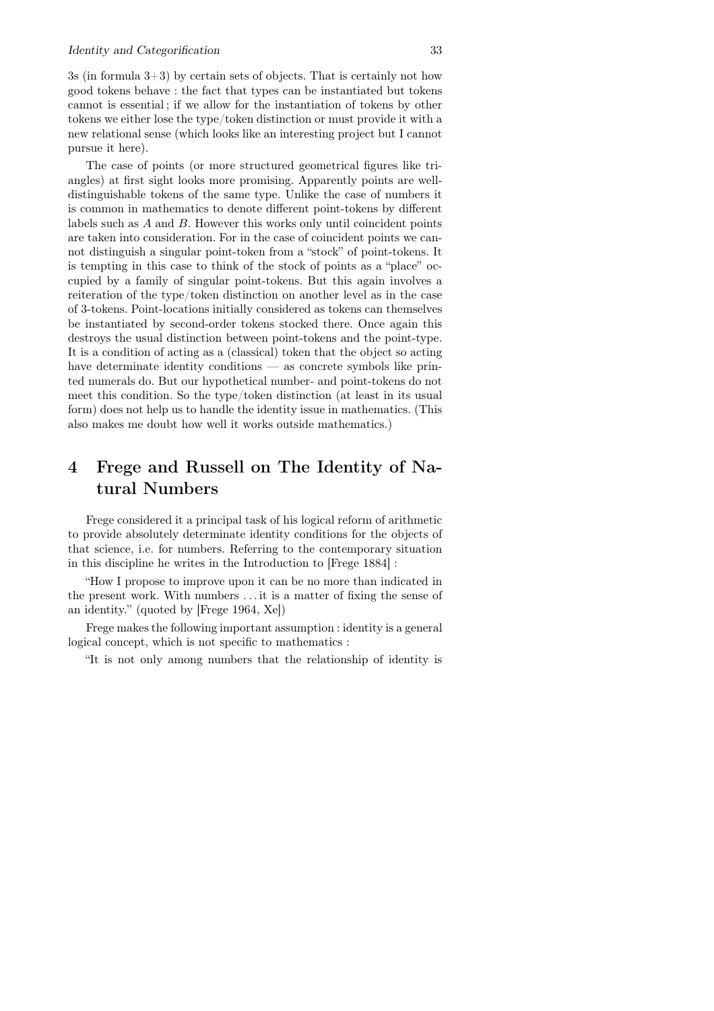3s (in formula  $3+3$ ) by certain sets of objects. That is certainly not how good tokens behave : the fact that types can be instantiated but tokens cannot is essential ; if we allow for the instantiation of tokens by other tokens we either lose the type/token distinction or must provide it with a new relational sense (which looks like an interesting project but I cannot pursue it here).

The case of points (or more structured geometrical figures like triangles) at first sight looks more promising. Apparently points are welldistinguishable tokens of the same type. Unlike the case of numbers it is common in mathematics to denote different point-tokens by different labels such as A and B. However this works only until coincident points are taken into consideration. For in the case of coincident points we cannot distinguish a singular point-token from a "stock" of point-tokens. It is tempting in this case to think of the stock of points as a "place" occupied by a family of singular point-tokens. But this again involves a reiteration of the type/token distinction on another level as in the case of 3-tokens. Point-locations initially considered as tokens can themselves be instantiated by second-order tokens stocked there. Once again this destroys the usual distinction between point-tokens and the point-type. It is a condition of acting as a (classical) token that the object so acting have determinate identity conditions — as concrete symbols like printed numerals do. But our hypothetical number- and point-tokens do not meet this condition. So the type/token distinction (at least in its usual form) does not help us to handle the identity issue in mathematics. (This also makes me doubt how well it works outside mathematics.)

# 4 Frege and Russell on The Identity of Natural Numbers

Frege considered it a principal task of his logical reform of arithmetic to provide absolutely determinate identity conditions for the objects of that science, i.e. for numbers. Referring to the contemporary situation in this discipline he writes in the Introduction to [Frege 1884] :

"How I propose to improve upon it can be no more than indicated in the present work. With numbers . . . it is a matter of fixing the sense of an identity." (quoted by [Frege 1964, Xe])

Frege makes the following important assumption : identity is a general logical concept, which is not specific to mathematics :

"It is not only among numbers that the relationship of identity is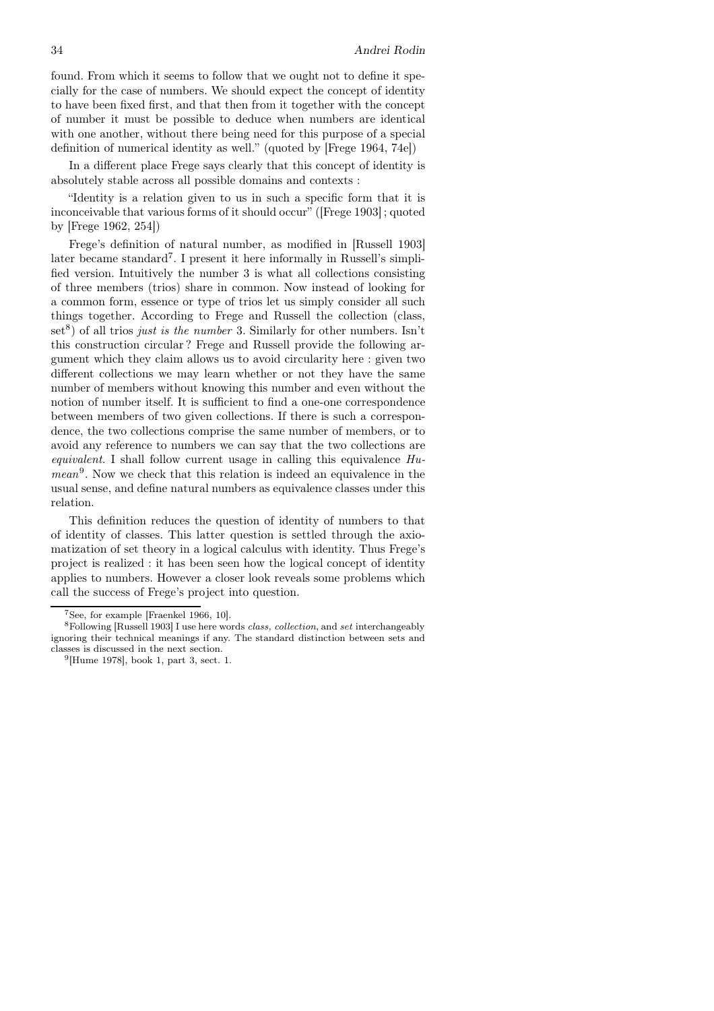found. From which it seems to follow that we ought not to define it specially for the case of numbers. We should expect the concept of identity to have been fixed first, and that then from it together with the concept of number it must be possible to deduce when numbers are identical with one another, without there being need for this purpose of a special definition of numerical identity as well." (quoted by [Frege 1964, 74e])

In a different place Frege says clearly that this concept of identity is absolutely stable across all possible domains and contexts :

"Identity is a relation given to us in such a specific form that it is inconceivable that various forms of it should occur" ([Frege 1903] ; quoted by [Frege 1962, 254])

Frege's definition of natural number, as modified in [Russell 1903] later became standard<sup>7</sup> . I present it here informally in Russell's simplified version. Intuitively the number 3 is what all collections consisting of three members (trios) share in common. Now instead of looking for a common form, essence or type of trios let us simply consider all such things together. According to Frege and Russell the collection (class, set<sup>8</sup>) of all trios just is the number 3. Similarly for other numbers. Isn't this construction circular ? Frege and Russell provide the following argument which they claim allows us to avoid circularity here : given two different collections we may learn whether or not they have the same number of members without knowing this number and even without the notion of number itself. It is sufficient to find a one-one correspondence between members of two given collections. If there is such a correspondence, the two collections comprise the same number of members, or to avoid any reference to numbers we can say that the two collections are *equivalent.* I shall follow current usage in calling this equivalence  $Hu$ mean<sup>9</sup>. Now we check that this relation is indeed an equivalence in the usual sense, and define natural numbers as equivalence classes under this relation.

This definition reduces the question of identity of numbers to that of identity of classes. This latter question is settled through the axiomatization of set theory in a logical calculus with identity. Thus Frege's project is realized : it has been seen how the logical concept of identity applies to numbers. However a closer look reveals some problems which call the success of Frege's project into question.

<sup>7</sup>See, for example [Fraenkel 1966, 10].

<sup>8</sup>Following [Russell 1903] I use here words class, collection, and set interchangeably ignoring their technical meanings if any. The standard distinction between sets and classes is discussed in the next section.

<sup>9</sup> [Hume 1978], book 1, part 3, sect. 1.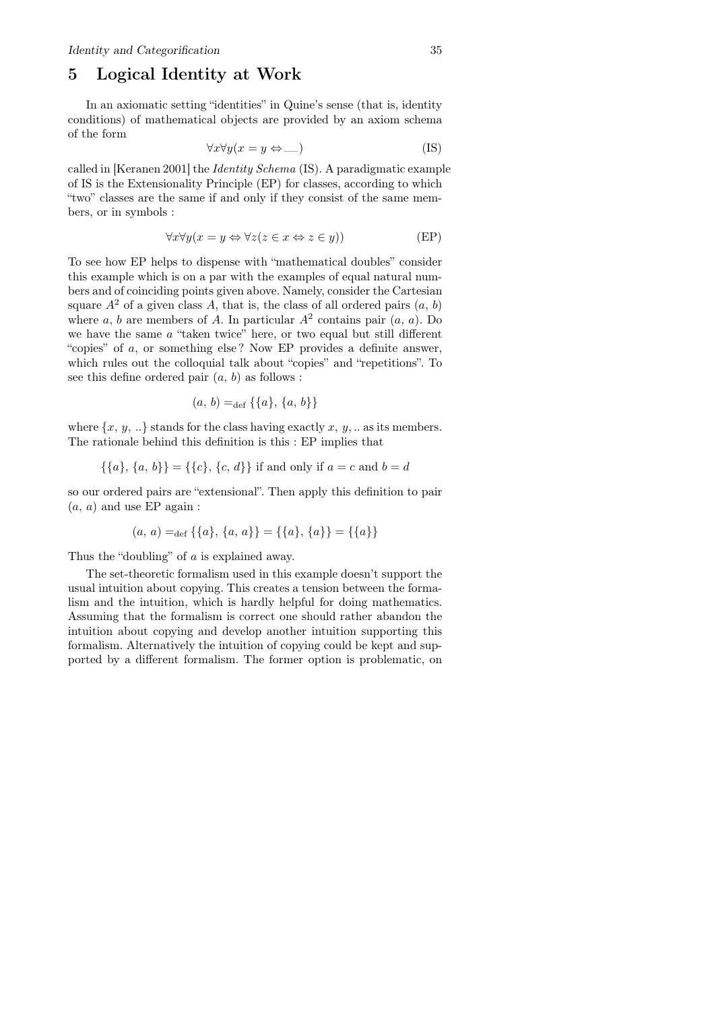### 5 Logical Identity at Work

In an axiomatic setting "identities" in Quine's sense (that is, identity conditions) of mathematical objects are provided by an axiom schema of the form

$$
\forall x \forall y (x = y \Leftrightarrow \_\_ )
$$
 (IS)

called in [Keranen 2001] the Identity Schema (IS). A paradigmatic example of IS is the Extensionality Principle (EP) for classes, according to which "two" classes are the same if and only if they consist of the same members, or in symbols :

$$
\forall x \forall y (x = y \Leftrightarrow \forall z (z \in x \Leftrightarrow z \in y))
$$
 (EP)

To see how EP helps to dispense with "mathematical doubles" consider this example which is on a par with the examples of equal natural numbers and of coinciding points given above. Namely, consider the Cartesian square  $A^2$  of a given class A, that is, the class of all ordered pairs  $(a, b)$ where a, b are members of A. In particular  $A^2$  contains pair  $(a, a)$ . Do we have the same a "taken twice" here, or two equal but still different "copies" of a, or something else ? Now EP provides a definite answer, which rules out the colloquial talk about "copies" and "repetitions". To see this define ordered pair  $(a, b)$  as follows :

$$
(a, b) =_{def} \{ \{a\}, \{a, b\} \}
$$

where  $\{x, y, ...\}$  stands for the class having exactly x, y, .. as its members. The rationale behind this definition is this : EP implies that

$$
\{\{a\}, \{a, b\}\} = \{\{c\}, \{c, d\}\}\
$$
if and only if  $a = c$  and  $b = d$ 

so our ordered pairs are "extensional". Then apply this definition to pair  $(a, a)$  and use EP again :

$$
(a, a) =_{def} \{ \{a\}, \{a, a\} \} = \{ \{a\}, \{a\} \} = \{ \{a\}
$$

Thus the "doubling" of a is explained away.

The set-theoretic formalism used in this example doesn't support the usual intuition about copying. This creates a tension between the formalism and the intuition, which is hardly helpful for doing mathematics. Assuming that the formalism is correct one should rather abandon the intuition about copying and develop another intuition supporting this formalism. Alternatively the intuition of copying could be kept and supported by a different formalism. The former option is problematic, on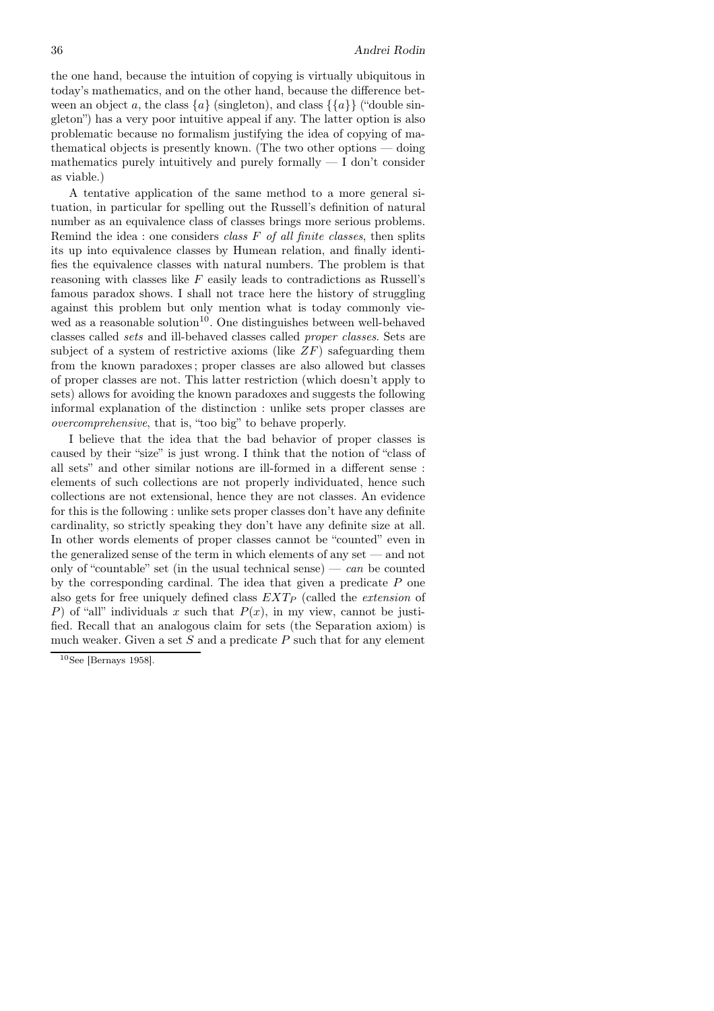the one hand, because the intuition of copying is virtually ubiquitous in today's mathematics, and on the other hand, because the difference between an object a, the class  $\{a\}$  (singleton), and class  $\{\{a\}\}\$  ("double singleton") has a very poor intuitive appeal if any. The latter option is also problematic because no formalism justifying the idea of copying of mathematical objects is presently known. (The two other options — doing mathematics purely intuitively and purely formally  $- I$  don't consider as viable.)

A tentative application of the same method to a more general situation, in particular for spelling out the Russell's definition of natural number as an equivalence class of classes brings more serious problems. Remind the idea : one considers class  $F$  of all finite classes, then splits its up into equivalence classes by Humean relation, and finally identifies the equivalence classes with natural numbers. The problem is that reasoning with classes like  $F$  easily leads to contradictions as Russell's famous paradox shows. I shall not trace here the history of struggling against this problem but only mention what is today commonly viewed as a reasonable solution<sup>10</sup>. One distinguishes between well-behaved classes called sets and ill-behaved classes called proper classes. Sets are subject of a system of restrictive axioms (like  $ZF$ ) safeguarding them from the known paradoxes ; proper classes are also allowed but classes of proper classes are not. This latter restriction (which doesn't apply to sets) allows for avoiding the known paradoxes and suggests the following informal explanation of the distinction : unlike sets proper classes are overcomprehensive, that is, "too big" to behave properly.

I believe that the idea that the bad behavior of proper classes is caused by their "size" is just wrong. I think that the notion of "class of all sets" and other similar notions are ill-formed in a different sense : elements of such collections are not properly individuated, hence such collections are not extensional, hence they are not classes. An evidence for this is the following : unlike sets proper classes don't have any definite cardinality, so strictly speaking they don't have any definite size at all. In other words elements of proper classes cannot be "counted" even in the generalized sense of the term in which elements of any set — and not only of "countable" set (in the usual technical sense) — can be counted by the corresponding cardinal. The idea that given a predicate  $P$  one also gets for free uniquely defined class  $EXT_{P}$  (called the *extension* of P) of "all" individuals x such that  $P(x)$ , in my view, cannot be justified. Recall that an analogous claim for sets (the Separation axiom) is much weaker. Given a set  $S$  and a predicate  $P$  such that for any element

<sup>10</sup>See [Bernays 1958].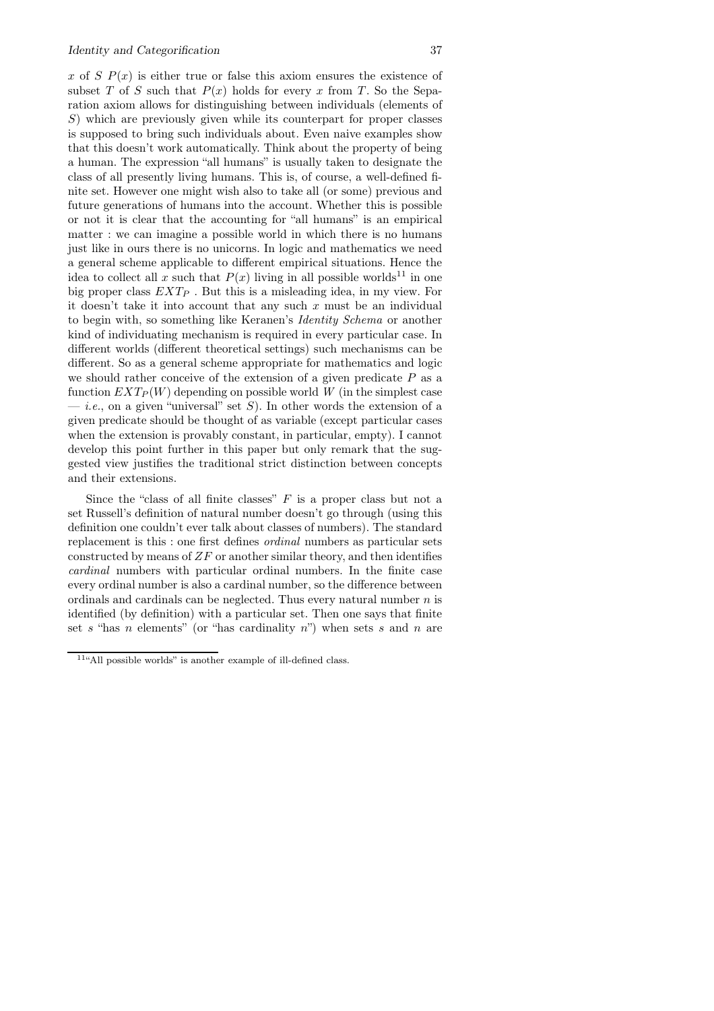x of  $S P(x)$  is either true or false this axiom ensures the existence of subset T of S such that  $P(x)$  holds for every x from T. So the Separation axiom allows for distinguishing between individuals (elements of S) which are previously given while its counterpart for proper classes is supposed to bring such individuals about. Even naive examples show that this doesn't work automatically. Think about the property of being a human. The expression "all humans" is usually taken to designate the class of all presently living humans. This is, of course, a well-defined finite set. However one might wish also to take all (or some) previous and future generations of humans into the account. Whether this is possible or not it is clear that the accounting for "all humans" is an empirical matter : we can imagine a possible world in which there is no humans just like in ours there is no unicorns. In logic and mathematics we need a general scheme applicable to different empirical situations. Hence the idea to collect all x such that  $P(x)$  living in all possible worlds<sup>11</sup> in one big proper class  $EXT_{P}$ . But this is a misleading idea, in my view. For it doesn't take it into account that any such  $x$  must be an individual to begin with, so something like Keranen's *Identity Schema* or another kind of individuating mechanism is required in every particular case. In different worlds (different theoretical settings) such mechanisms can be different. So as a general scheme appropriate for mathematics and logic we should rather conceive of the extension of a given predicate  $P$  as a function  $EXT_{P}(W)$  depending on possible world W (in the simplest case  $-$  *i.e.*, on a given "universal" set S). In other words the extension of a given predicate should be thought of as variable (except particular cases when the extension is provably constant, in particular, empty). I cannot develop this point further in this paper but only remark that the suggested view justifies the traditional strict distinction between concepts and their extensions.

Since the "class of all finite classes"  $F$  is a proper class but not a set Russell's definition of natural number doesn't go through (using this definition one couldn't ever talk about classes of numbers). The standard replacement is this : one first defines *ordinal* numbers as particular sets constructed by means of  $ZF$  or another similar theory, and then identifies cardinal numbers with particular ordinal numbers. In the finite case every ordinal number is also a cardinal number, so the difference between ordinals and cardinals can be neglected. Thus every natural number  $n$  is identified (by definition) with a particular set. Then one says that finite set s "has n elements" (or "has cardinality  $n$ ") when sets s and n are

<sup>11</sup>"All possible worlds" is another example of ill-defined class.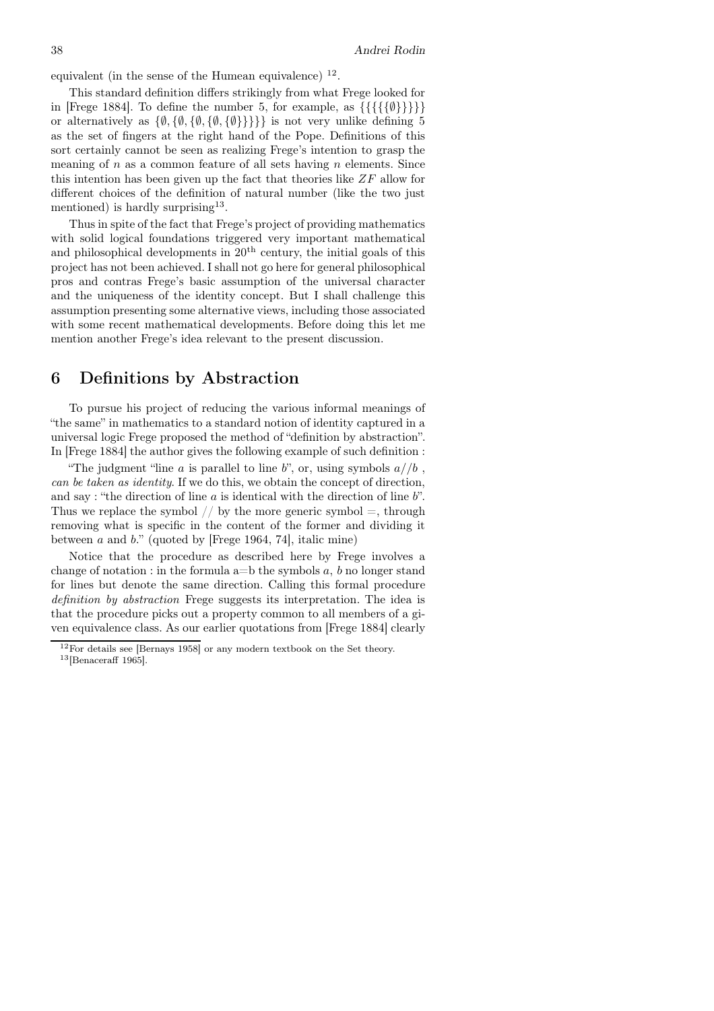equivalent (in the sense of the Humean equivalence)  $^{12}$ .

This standard definition differs strikingly from what Frege looked for in [Frege 1884]. To define the number 5, for example, as  $\{\{\{\{\{\emptyset\}\}\}\}\}\$ or alternatively as  $\{\emptyset, \{\emptyset, \{\emptyset, \{\emptyset\}\}\}\}\$  is not very unlike defining 5 as the set of fingers at the right hand of the Pope. Definitions of this sort certainly cannot be seen as realizing Frege's intention to grasp the meaning of n as a common feature of all sets having n elements. Since this intention has been given up the fact that theories like  $ZF$  allow for different choices of the definition of natural number (like the two just mentioned) is hardly surprising<sup>13</sup>.

Thus in spite of the fact that Frege's project of providing mathematics with solid logical foundations triggered very important mathematical and philosophical developments in  $20<sup>th</sup>$  century, the initial goals of this project has not been achieved. I shall not go here for general philosophical pros and contras Frege's basic assumption of the universal character and the uniqueness of the identity concept. But I shall challenge this assumption presenting some alternative views, including those associated with some recent mathematical developments. Before doing this let me mention another Frege's idea relevant to the present discussion.

### 6 Definitions by Abstraction

To pursue his project of reducing the various informal meanings of "the same" in mathematics to a standard notion of identity captured in a universal logic Frege proposed the method of "definition by abstraction". In [Frege 1884] the author gives the following example of such definition :

"The judgment "line a is parallel to line b", or, using symbols  $a//b$ , can be taken as identity. If we do this, we obtain the concept of direction, and say : "the direction of line  $a$  is identical with the direction of line  $b$ ". Thus we replace the symbol  $//$  by the more generic symbol  $=$ , through removing what is specific in the content of the former and dividing it between  $a$  and  $b$ ." (quoted by [Frege 1964, 74], italic mine)

Notice that the procedure as described here by Frege involves a change of notation : in the formula  $a=b$  the symbols a, b no longer stand for lines but denote the same direction. Calling this formal procedure definition by abstraction Frege suggests its interpretation. The idea is that the procedure picks out a property common to all members of a given equivalence class. As our earlier quotations from [Frege 1884] clearly

<sup>12</sup>For details see [Bernays 1958] or any modern textbook on the Set theory.

 $13$ [Benaceraff 1965].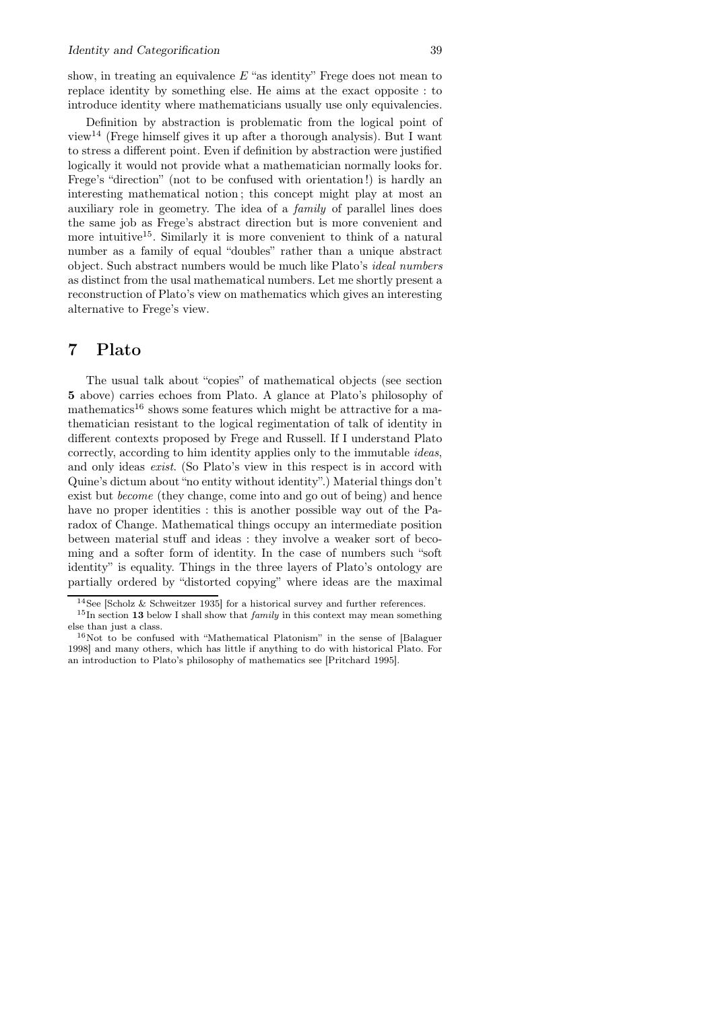show, in treating an equivalence  $E$  "as identity" Frege does not mean to replace identity by something else. He aims at the exact opposite : to introduce identity where mathematicians usually use only equivalencies.

Definition by abstraction is problematic from the logical point of view<sup>14</sup> (Frege himself gives it up after a thorough analysis). But I want to stress a different point. Even if definition by abstraction were justified logically it would not provide what a mathematician normally looks for. Frege's "direction" (not to be confused with orientation !) is hardly an interesting mathematical notion ; this concept might play at most an auxiliary role in geometry. The idea of a family of parallel lines does the same job as Frege's abstract direction but is more convenient and more intuitive<sup>15</sup>. Similarly it is more convenient to think of a natural number as a family of equal "doubles" rather than a unique abstract object. Such abstract numbers would be much like Plato's ideal numbers as distinct from the usal mathematical numbers. Let me shortly present a reconstruction of Plato's view on mathematics which gives an interesting alternative to Frege's view.

### 7 Plato

The usual talk about "copies" of mathematical objects (see section 5 above) carries echoes from Plato. A glance at Plato's philosophy of mathematics<sup>16</sup> shows some features which might be attractive for a mathematician resistant to the logical regimentation of talk of identity in different contexts proposed by Frege and Russell. If I understand Plato correctly, according to him identity applies only to the immutable ideas, and only ideas exist. (So Plato's view in this respect is in accord with Quine's dictum about "no entity without identity".) Material things don't exist but become (they change, come into and go out of being) and hence have no proper identities : this is another possible way out of the Paradox of Change. Mathematical things occupy an intermediate position between material stuff and ideas : they involve a weaker sort of becoming and a softer form of identity. In the case of numbers such "soft identity" is equality. Things in the three layers of Plato's ontology are partially ordered by "distorted copying" where ideas are the maximal

<sup>14</sup>See [Scholz & Schweitzer 1935] for a historical survey and further references.

<sup>&</sup>lt;sup>15</sup>In section 13 below I shall show that *family* in this context may mean something else than just a class.

<sup>&</sup>lt;sup>16</sup>Not to be confused with "Mathematical Platonism" in the sense of [Balaguer 1998] and many others, which has little if anything to do with historical Plato. For an introduction to Plato's philosophy of mathematics see [Pritchard 1995].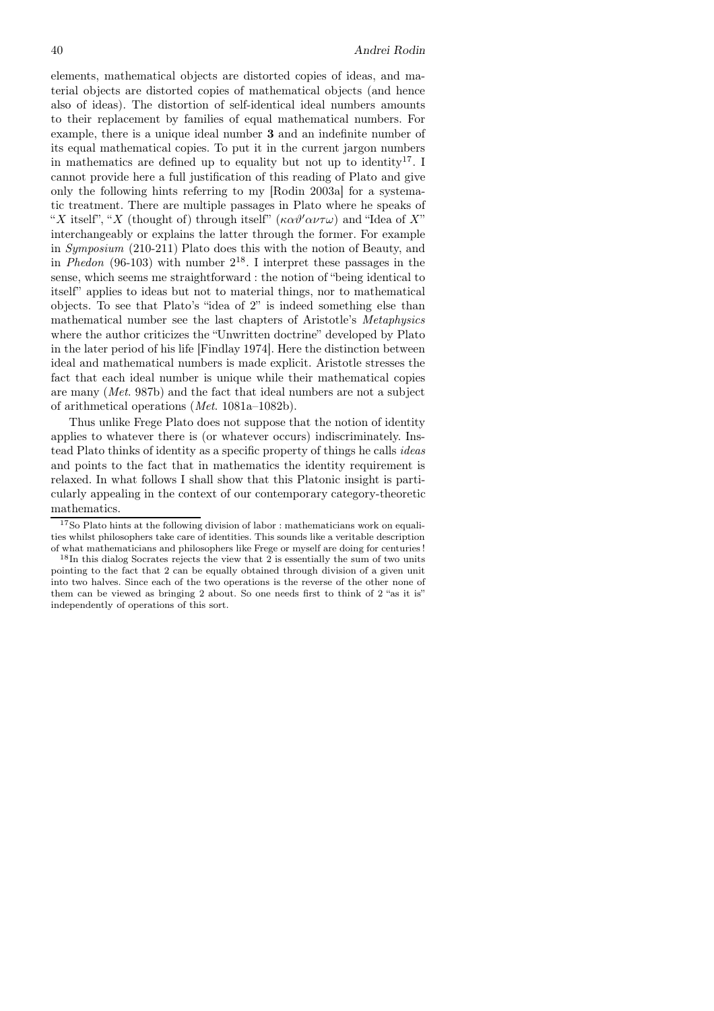elements, mathematical objects are distorted copies of ideas, and material objects are distorted copies of mathematical objects (and hence also of ideas). The distortion of self-identical ideal numbers amounts to their replacement by families of equal mathematical numbers. For example, there is a unique ideal number 3 and an indefinite number of its equal mathematical copies. To put it in the current jargon numbers in mathematics are defined up to equality but not up to identity <sup>17</sup>. I cannot provide here a full justification of this reading of Plato and give only the following hints referring to my [Rodin 2003a] for a systematic treatment. There are multiple passages in Plato where he speaks of "X itself", "X (thought of) through itself" ( $\kappa \alpha \vartheta' \alpha \nu \tau \omega$ ) and "Idea of X" interchangeably or explains the latter through the former. For example in Symposium (210-211) Plato does this with the notion of Beauty, and in Phedon (96-103) with number  $2^{18}$ . I interpret these passages in the sense, which seems me straightforward : the notion of "being identical to itself" applies to ideas but not to material things, nor to mathematical objects. To see that Plato's "idea of 2" is indeed something else than mathematical number see the last chapters of Aristotle's Metaphysics where the author criticizes the "Unwritten doctrine" developed by Plato in the later period of his life [Findlay 1974]. Here the distinction between ideal and mathematical numbers is made explicit. Aristotle stresses the fact that each ideal number is unique while their mathematical copies are many (Met. 987b) and the fact that ideal numbers are not a subject of arithmetical operations (Met. 1081a–1082b).

Thus unlike Frege Plato does not suppose that the notion of identity applies to whatever there is (or whatever occurs) indiscriminately. Instead Plato thinks of identity as a specific property of things he calls ideas and points to the fact that in mathematics the identity requirement is relaxed. In what follows I shall show that this Platonic insight is particularly appealing in the context of our contemporary category-theoretic mathematics.

<sup>17</sup>So Plato hints at the following division of labor : mathematicians work on equalities whilst philosophers take care of identities. This sounds like a veritable description of what mathematicians and philosophers like Frege or myself are doing for centuries !

<sup>&</sup>lt;sup>18</sup>In this dialog Socrates rejects the view that 2 is essentially the sum of two units pointing to the fact that 2 can be equally obtained through division of a given unit into two halves. Since each of the two operations is the reverse of the other none of them can be viewed as bringing 2 about. So one needs first to think of 2 "as it is" independently of operations of this sort.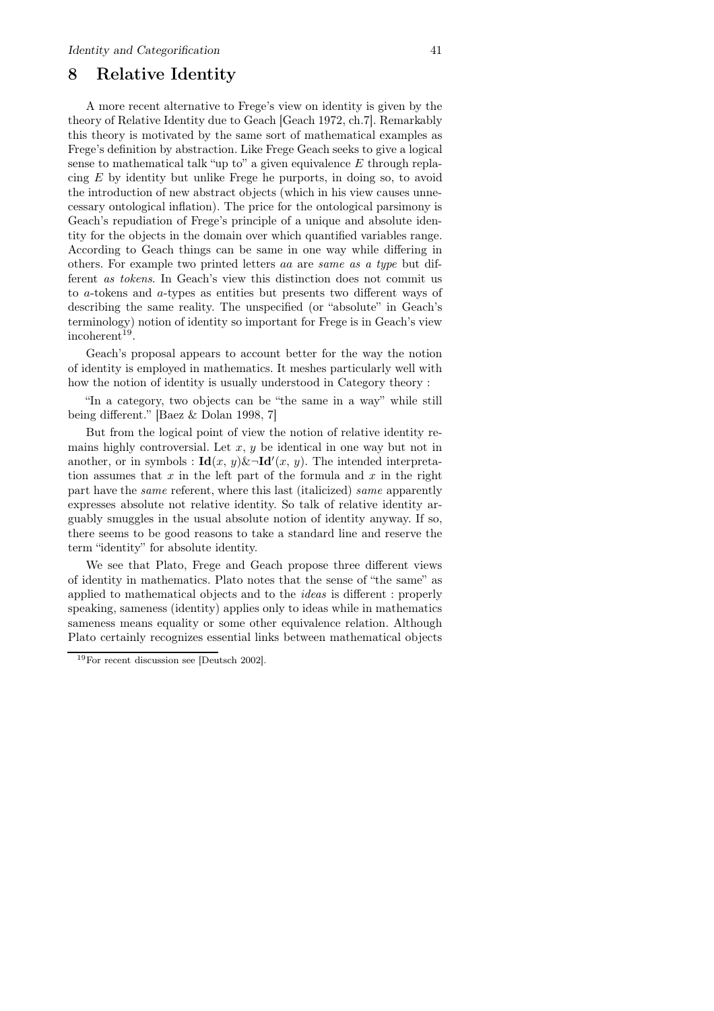### 8 Relative Identity

A more recent alternative to Frege's view on identity is given by the theory of Relative Identity due to Geach [Geach 1972, ch.7]. Remarkably this theory is motivated by the same sort of mathematical examples as Frege's definition by abstraction. Like Frege Geach seeks to give a logical sense to mathematical talk "up to" a given equivalence  $E$  through replacing  $E$  by identity but unlike Frege he purports, in doing so, to avoid the introduction of new abstract objects (which in his view causes unnecessary ontological inflation). The price for the ontological parsimony is Geach's repudiation of Frege's principle of a unique and absolute identity for the objects in the domain over which quantified variables range. According to Geach things can be same in one way while differing in others. For example two printed letters aa are same as a type but different as tokens. In Geach's view this distinction does not commit us to a-tokens and a-types as entities but presents two different ways of describing the same reality. The unspecified (or "absolute" in Geach's terminology) notion of identity so important for Frege is in Geach's view  $incoherent$ <sup>19</sup>.

Geach's proposal appears to account better for the way the notion of identity is employed in mathematics. It meshes particularly well with how the notion of identity is usually understood in Category theory :

"In a category, two objects can be "the same in a way" while still being different." [Baez & Dolan 1998, 7]

But from the logical point of view the notion of relative identity remains highly controversial. Let  $x, y$  be identical in one way but not in another, or in symbols :  $\mathbf{Id}(x, y)$ & $\neg \mathbf{Id}'(x, y)$ . The intended interpretation assumes that  $x$  in the left part of the formula and  $x$  in the right part have the same referent, where this last (italicized) same apparently expresses absolute not relative identity. So talk of relative identity arguably smuggles in the usual absolute notion of identity anyway. If so, there seems to be good reasons to take a standard line and reserve the term "identity" for absolute identity.

We see that Plato, Frege and Geach propose three different views of identity in mathematics. Plato notes that the sense of "the same" as applied to mathematical objects and to the ideas is different : properly speaking, sameness (identity) applies only to ideas while in mathematics sameness means equality or some other equivalence relation. Although Plato certainly recognizes essential links between mathematical objects

<sup>19</sup>For recent discussion see [Deutsch 2002].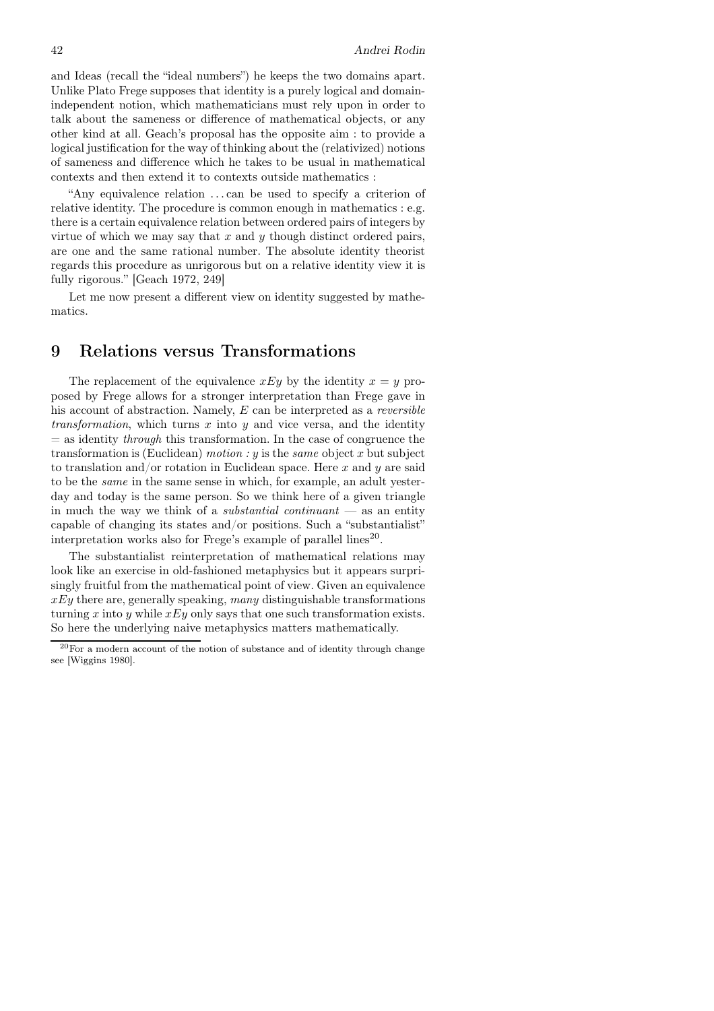and Ideas (recall the "ideal numbers") he keeps the two domains apart. Unlike Plato Frege supposes that identity is a purely logical and domainindependent notion, which mathematicians must rely upon in order to talk about the sameness or difference of mathematical objects, or any other kind at all. Geach's proposal has the opposite aim : to provide a logical justification for the way of thinking about the (relativized) notions of sameness and difference which he takes to be usual in mathematical contexts and then extend it to contexts outside mathematics :

"Any equivalence relation . . . can be used to specify a criterion of relative identity. The procedure is common enough in mathematics : e.g. there is a certain equivalence relation between ordered pairs of integers by virtue of which we may say that  $x$  and  $y$  though distinct ordered pairs, are one and the same rational number. The absolute identity theorist regards this procedure as unrigorous but on a relative identity view it is fully rigorous." [Geach 1972, 249]

Let me now present a different view on identity suggested by mathematics.

### 9 Relations versus Transformations

The replacement of the equivalence  $xEy$  by the identity  $x = y$  proposed by Frege allows for a stronger interpretation than Frege gave in his account of abstraction. Namely,  $E$  can be interpreted as a *reversible* transformation, which turns  $x$  into  $y$  and vice versa, and the identity  $=$  as identity *through* this transformation. In the case of congruence the transformation is (Euclidean) motion : y is the *same* object x but subject to translation and/or rotation in Euclidean space. Here x and y are said to be the same in the same sense in which, for example, an adult yesterday and today is the same person. So we think here of a given triangle in much the way we think of a *substantial continuant*  $-$  as an entity capable of changing its states and/or positions. Such a "substantialist" interpretation works also for Frege's example of parallel lines<sup>20</sup>.

The substantialist reinterpretation of mathematical relations may look like an exercise in old-fashioned metaphysics but it appears surprisingly fruitful from the mathematical point of view. Given an equivalence  $xEy$  there are, generally speaking, many distinguishable transformations turning  $x$  into  $y$  while  $xEy$  only says that one such transformation exists. So here the underlying naive metaphysics matters mathematically.

 $20$  For a modern account of the notion of substance and of identity through change see [Wiggins 1980].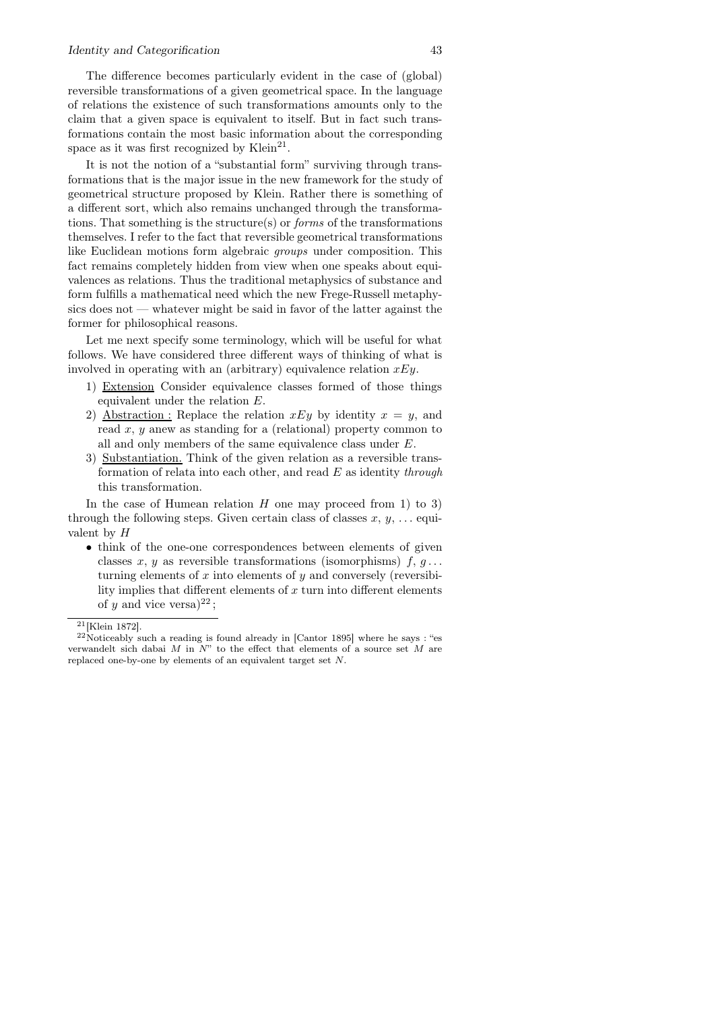The difference becomes particularly evident in the case of (global) reversible transformations of a given geometrical space. In the language of relations the existence of such transformations amounts only to the claim that a given space is equivalent to itself. But in fact such transformations contain the most basic information about the corresponding space as it was first recognized by  $Klein^{21}$ .

It is not the notion of a "substantial form" surviving through transformations that is the major issue in the new framework for the study of geometrical structure proposed by Klein. Rather there is something of a different sort, which also remains unchanged through the transformations. That something is the structure(s) or forms of the transformations themselves. I refer to the fact that reversible geometrical transformations like Euclidean motions form algebraic groups under composition. This fact remains completely hidden from view when one speaks about equivalences as relations. Thus the traditional metaphysics of substance and form fulfills a mathematical need which the new Frege-Russell metaphysics does not — whatever might be said in favor of the latter against the former for philosophical reasons.

Let me next specify some terminology, which will be useful for what follows. We have considered three different ways of thinking of what is involved in operating with an (arbitrary) equivalence relation  $xEy$ .

- 1) Extension Consider equivalence classes formed of those things equivalent under the relation E.
- 2) Abstraction : Replace the relation  $xEy$  by identity  $x = y$ , and read  $x, y$  anew as standing for a (relational) property common to all and only members of the same equivalence class under E.
- 3) Substantiation. Think of the given relation as a reversible transformation of relata into each other, and read  $E$  as identity through this transformation.

In the case of Humean relation  $H$  one may proceed from 1) to 3) through the following steps. Given certain class of classes  $x, y, \ldots$  equivalent by H

• think of the one-one correspondences between elements of given classes x, y as reversible transformations (isomorphisms)  $f, g \ldots$ turning elements of x into elements of y and conversely (reversibility implies that different elements of  $x$  turn into different elements of y and vice versa)<sup>22</sup>;

 $^{21}$ [Klein 1872].

 $22$ Noticeably such a reading is found already in [Cantor 1895] where he says : "es verwandelt sich dabai M in  $N$ " to the effect that elements of a source set M are replaced one-by-one by elements of an equivalent target set N.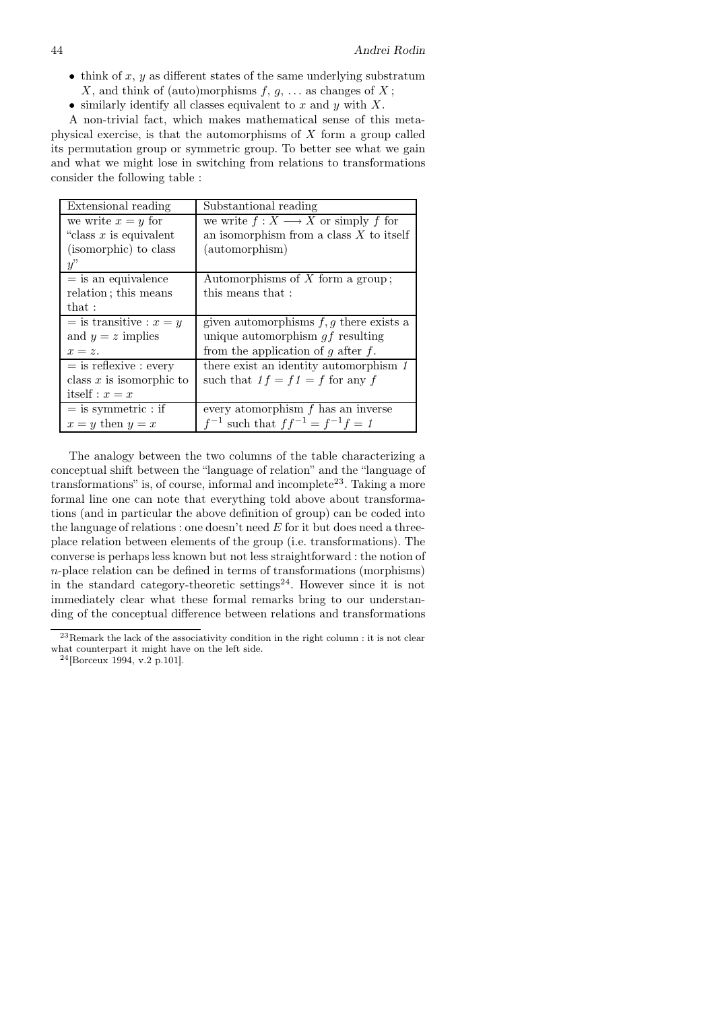- think of x, y as different states of the same underlying substratum X, and think of (auto)morphisms  $f, g, \ldots$  as changes of  $X$ ;
- similarly identify all classes equivalent to  $x$  and  $y$  with  $X$ .

A non-trivial fact, which makes mathematical sense of this metaphysical exercise, is that the automorphisms of X form a group called its permutation group or symmetric group. To better see what we gain and what we might lose in switching from relations to transformations consider the following table :

| Extensional reading         | Substantional reading                             |
|-----------------------------|---------------------------------------------------|
| we write $x = y$ for        | we write $f: X \longrightarrow X$ or simply f for |
| "class $x$ is equivalent    | an isomorphism from a class $X$ to itself         |
| (isomorphic) to class       | (automorphism)                                    |
| $y$ "                       |                                                   |
| $=$ is an equivalence       | Automorphisms of $X$ form a group;                |
| relation; this means        | this means that:                                  |
| that:                       |                                                   |
| $=$ is transitive : $x = y$ | given automorphisms $f, g$ there exists a         |
| and $y = z$ implies         | unique automorphism $gf$ resulting                |
| $x=z.$                      | from the application of $q$ after $f$ .           |
| $=$ is reflexive : every    | there exist an identity automorphism $1$          |
| class $x$ is isomorphic to  | such that $1f = f1 = f$ for any f                 |
| itself : $x = x$            |                                                   |
| $=$ is symmetric : if       | every atomorphism $f$ has an inverse              |
| $x = y$ then $y = x$        | $f^{-1}$ such that $ff^{-1} = f^{-1}f = 1$        |

The analogy between the two columns of the table characterizing a conceptual shift between the "language of relation" and the "language of transformations" is, of course, informal and incomplete<sup>23</sup>. Taking a more formal line one can note that everything told above about transformations (and in particular the above definition of group) can be coded into the language of relations : one doesn't need  $E$  for it but does need a threeplace relation between elements of the group (i.e. transformations). The converse is perhaps less known but not less straightforward : the notion of n-place relation can be defined in terms of transformations (morphisms) in the standard category-theoretic settings<sup>24</sup>. However since it is not immediately clear what these formal remarks bring to our understanding of the conceptual difference between relations and transformations

<sup>23</sup>Remark the lack of the associativity condition in the right column : it is not clear what counterpart it might have on the left side.

 $24$ [Borceux 1994, v.2 p.101].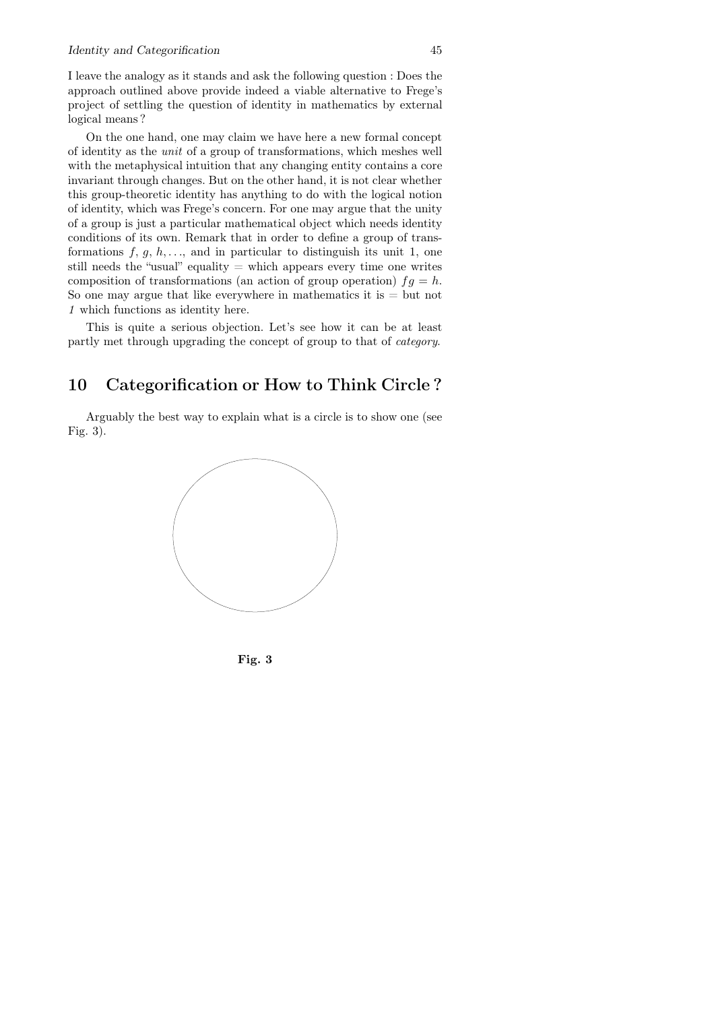I leave the analogy as it stands and ask the following question : Does the approach outlined above provide indeed a viable alternative to Frege's project of settling the question of identity in mathematics by external logical means ?

On the one hand, one may claim we have here a new formal concept of identity as the unit of a group of transformations, which meshes well with the metaphysical intuition that any changing entity contains a core invariant through changes. But on the other hand, it is not clear whether this group-theoretic identity has anything to do with the logical notion of identity, which was Frege's concern. For one may argue that the unity of a group is just a particular mathematical object which needs identity conditions of its own. Remark that in order to define a group of transformations  $f, g, h, \ldots$ , and in particular to distinguish its unit 1, one still needs the "usual" equality  $=$  which appears every time one writes composition of transformations (an action of group operation)  $fg = h$ . So one may argue that like everywhere in mathematics it is  $=$  but not 1 which functions as identity here.

This is quite a serious objection. Let's see how it can be at least partly met through upgrading the concept of group to that of category.

### 10 Categorification or How to Think Circle ?

Arguably the best way to explain what is a circle is to show one (see Fig. 3).



Fig. 3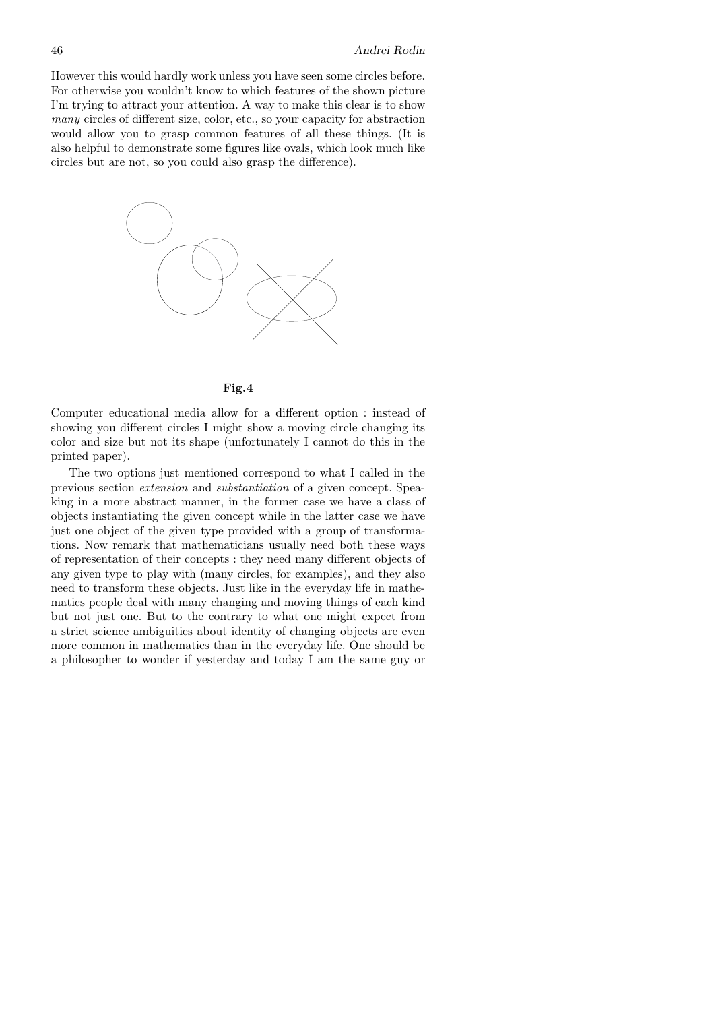However this would hardly work unless you have seen some circles before. For otherwise you wouldn't know to which features of the shown picture I'm trying to attract your attention. A way to make this clear is to show many circles of different size, color, etc., so your capacity for abstraction would allow you to grasp common features of all these things. (It is also helpful to demonstrate some figures like ovals, which look much like circles but are not, so you could also grasp the difference).



#### Fig.4

Computer educational media allow for a different option : instead of showing you different circles I might show a moving circle changing its color and size but not its shape (unfortunately I cannot do this in the printed paper).

The two options just mentioned correspond to what I called in the previous section extension and substantiation of a given concept. Speaking in a more abstract manner, in the former case we have a class of objects instantiating the given concept while in the latter case we have just one object of the given type provided with a group of transformations. Now remark that mathematicians usually need both these ways of representation of their concepts : they need many different objects of any given type to play with (many circles, for examples), and they also need to transform these objects. Just like in the everyday life in mathematics people deal with many changing and moving things of each kind but not just one. But to the contrary to what one might expect from a strict science ambiguities about identity of changing objects are even more common in mathematics than in the everyday life. One should be a philosopher to wonder if yesterday and today I am the same guy or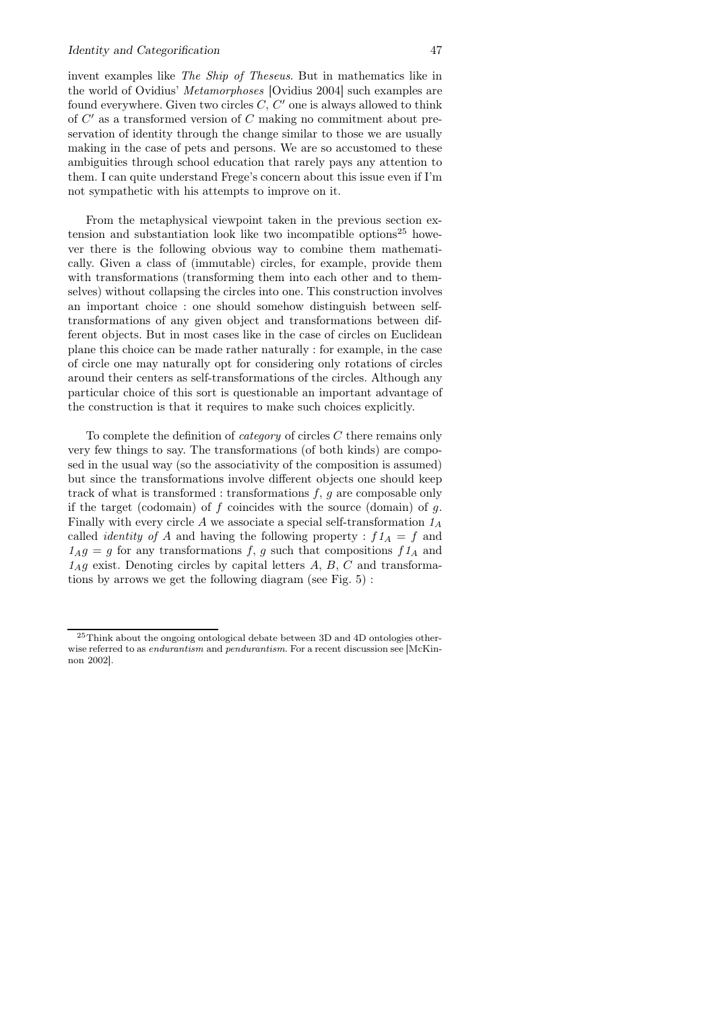invent examples like The Ship of Theseus. But in mathematics like in the world of Ovidius' Metamorphoses [Ovidius 2004] such examples are found everywhere. Given two circles  $C, C'$  one is always allowed to think of  $C'$  as a transformed version of  $C$  making no commitment about preservation of identity through the change similar to those we are usually making in the case of pets and persons. We are so accustomed to these ambiguities through school education that rarely pays any attention to them. I can quite understand Frege's concern about this issue even if I'm not sympathetic with his attempts to improve on it.

From the metaphysical viewpoint taken in the previous section extension and substantiation look like two incompatible options<sup>25</sup> however there is the following obvious way to combine them mathematically. Given a class of (immutable) circles, for example, provide them with transformations (transforming them into each other and to themselves) without collapsing the circles into one. This construction involves an important choice : one should somehow distinguish between selftransformations of any given object and transformations between different objects. But in most cases like in the case of circles on Euclidean plane this choice can be made rather naturally : for example, in the case of circle one may naturally opt for considering only rotations of circles around their centers as self-transformations of the circles. Although any particular choice of this sort is questionable an important advantage of the construction is that it requires to make such choices explicitly.

To complete the definition of *category* of circles  $C$  there remains only very few things to say. The transformations (of both kinds) are composed in the usual way (so the associativity of the composition is assumed) but since the transformations involve different objects one should keep track of what is transformed : transformations  $f, g$  are composable only if the target (codomain) of  $f$  coincides with the source (domain) of  $g$ . Finally with every circle A we associate a special self-transformation  $1_A$ called *identity of A* and having the following property :  $f1_A = f$  and  $1_Ag = g$  for any transformations f, g such that compositions f  $1_A$  and  $1_Ag$  exist. Denoting circles by capital letters A, B, C and transformations by arrows we get the following diagram (see Fig. 5) :

<sup>&</sup>lt;sup>25</sup>Think about the ongoing ontological debate between 3D and 4D ontologies otherwise referred to as *endurantism* and *pendurantism*. For a recent discussion see [McKinnon 2002].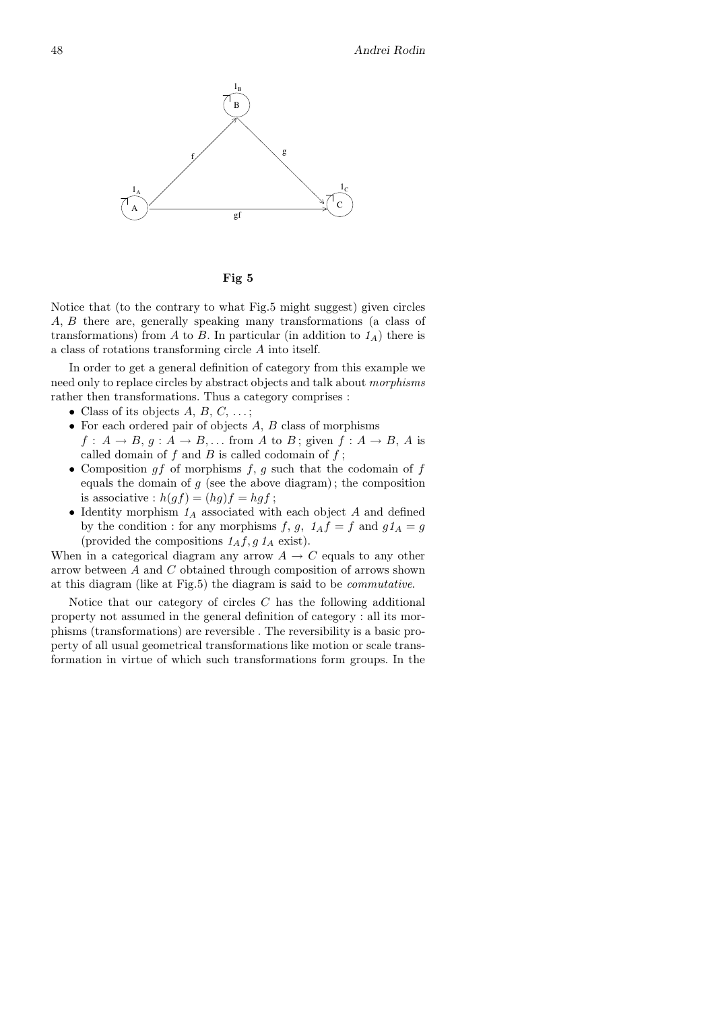



Notice that (to the contrary to what Fig.5 might suggest) given circles A, B there are, generally speaking many transformations (a class of transformations) from A to B. In particular (in addition to  $I_A$ ) there is a class of rotations transforming circle A into itself.

In order to get a general definition of category from this example we need only to replace circles by abstract objects and talk about *morphisms* rather then transformations. Thus a category comprises :

- Class of its objects  $A, B, C, \ldots;$
- For each ordered pair of objects  $A, B$  class of morphisms  $f: A \to B, g: A \to B, \ldots$  from A to B; given  $f: A \to B, A$  is called domain of  $f$  and  $B$  is called codomain of  $f$ ;
- Composition  $gf$  of morphisms  $f, g$  such that the codomain of  $f$ equals the domain of  $g$  (see the above diagram); the composition is associative :  $h(qf) = (hg)f = hgf$ ;
- Identity morphism  $1_A$  associated with each object  $A$  and defined by the condition : for any morphisms f, g,  $1_A f = f$  and  $g1_A = g$ (provided the compositions  $1_A f, g 1_A$  exist).

When in a categorical diagram any arrow  $A \rightarrow C$  equals to any other arrow between A and C obtained through composition of arrows shown at this diagram (like at Fig.5) the diagram is said to be commutative.

Notice that our category of circles C has the following additional property not assumed in the general definition of category : all its morphisms (transformations) are reversible . The reversibility is a basic property of all usual geometrical transformations like motion or scale transformation in virtue of which such transformations form groups. In the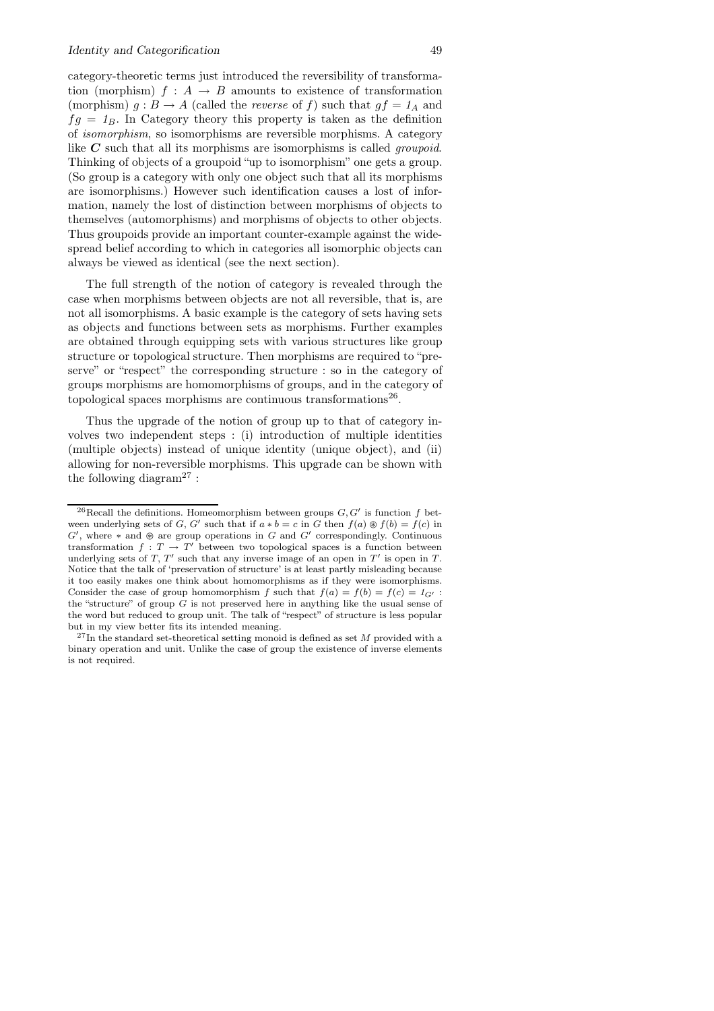category-theoretic terms just introduced the reversibility of transformation (morphism)  $f : A \rightarrow B$  amounts to existence of transformation (morphism)  $q : B \to A$  (called the *reverse* of f) such that  $q f = 1_A$  and  $fq = 1_B$ . In Category theory this property is taken as the definition of isomorphism, so isomorphisms are reversible morphisms. A category like  $C$  such that all its morphisms are isomorphisms is called *groupoid*. Thinking of objects of a groupoid "up to isomorphism" one gets a group. (So group is a category with only one object such that all its morphisms are isomorphisms.) However such identification causes a lost of information, namely the lost of distinction between morphisms of objects to themselves (automorphisms) and morphisms of objects to other objects. Thus groupoids provide an important counter-example against the widespread belief according to which in categories all isomorphic objects can always be viewed as identical (see the next section).

The full strength of the notion of category is revealed through the case when morphisms between objects are not all reversible, that is, are not all isomorphisms. A basic example is the category of sets having sets as objects and functions between sets as morphisms. Further examples are obtained through equipping sets with various structures like group structure or topological structure. Then morphisms are required to "preserve" or "respect" the corresponding structure : so in the category of groups morphisms are homomorphisms of groups, and in the category of topological spaces morphisms are continuous transformations<sup>26</sup>.

Thus the upgrade of the notion of group up to that of category involves two independent steps : (i) introduction of multiple identities (multiple objects) instead of unique identity (unique object), and (ii) allowing for non-reversible morphisms. This upgrade can be shown with the following diagram<sup>27</sup>:

<sup>&</sup>lt;sup>26</sup>Recall the definitions. Homeomorphism between groups  $G, G'$  is function  $f$  between underlying sets of G, G' such that if  $a * b = c$  in G then  $f(a) \otimes f(b) = f(c)$  in  $G'$ , where  $*$  and  $*$  are group operations in  $G$  and  $G'$  correspondingly. Continuous transformation  $f : T \to T'$  between two topological spaces is a function between underlying sets of T, T' such that any inverse image of an open in T' is open in T. Notice that the talk of 'preservation of structure' is at least partly misleading because it too easily makes one think about homomorphisms as if they were isomorphisms. Consider the case of group homomorphism f such that  $f(a) = f(b) = f(c) = 1_{G'}$ : the "structure" of group  $G$  is not preserved here in anything like the usual sense of the word but reduced to group unit. The talk of "respect" of structure is less popular but in my view better fits its intended meaning.

 $^{27}{\rm In}$  the standard set-theoretical setting monoid is defined as set  $M$  provided with a binary operation and unit. Unlike the case of group the existence of inverse elements is not required.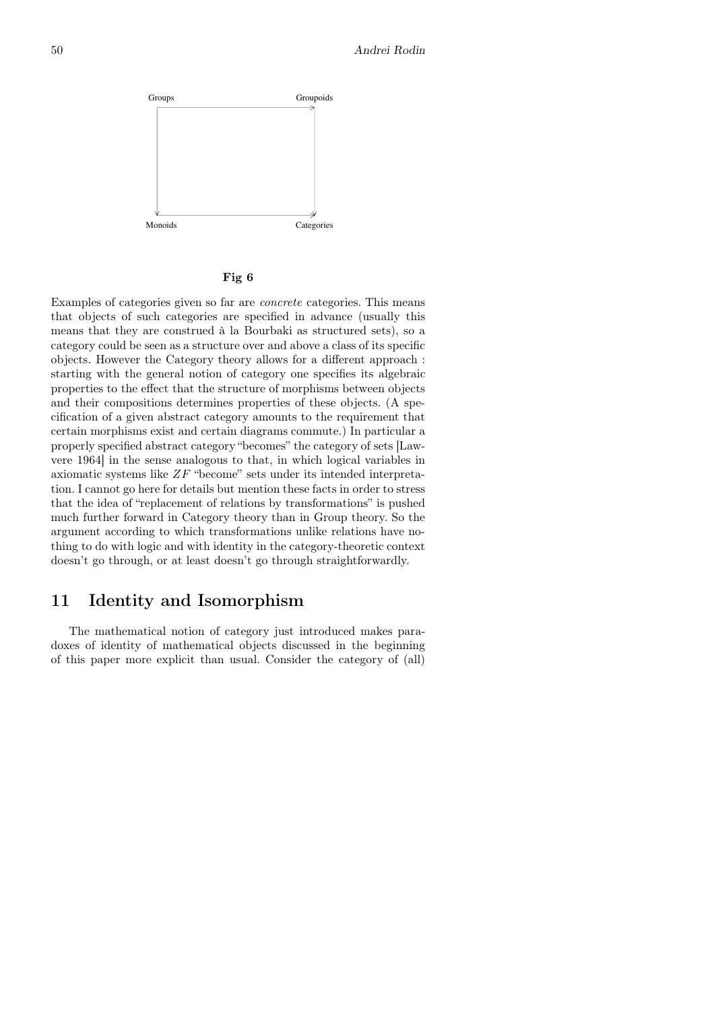

Fig 6

Examples of categories given so far are *concrete* categories. This means that objects of such categories are specified in advance (usually this means that they are construed à la Bourbaki as structured sets), so a category could be seen as a structure over and above a class of its specific objects. However the Category theory allows for a different approach : starting with the general notion of category one specifies its algebraic properties to the effect that the structure of morphisms between objects and their compositions determines properties of these objects. (A specification of a given abstract category amounts to the requirement that certain morphisms exist and certain diagrams commute.) In particular a properly specified abstract category "becomes" the category of sets [Lawvere 1964] in the sense analogous to that, in which logical variables in axiomatic systems like  $ZF$  "become" sets under its intended interpretation. I cannot go here for details but mention these facts in order to stress that the idea of "replacement of relations by transformations" is pushed much further forward in Category theory than in Group theory. So the argument according to which transformations unlike relations have nothing to do with logic and with identity in the category-theoretic context doesn't go through, or at least doesn't go through straightforwardly.

# 11 Identity and Isomorphism

The mathematical notion of category just introduced makes paradoxes of identity of mathematical objects discussed in the beginning of this paper more explicit than usual. Consider the category of (all)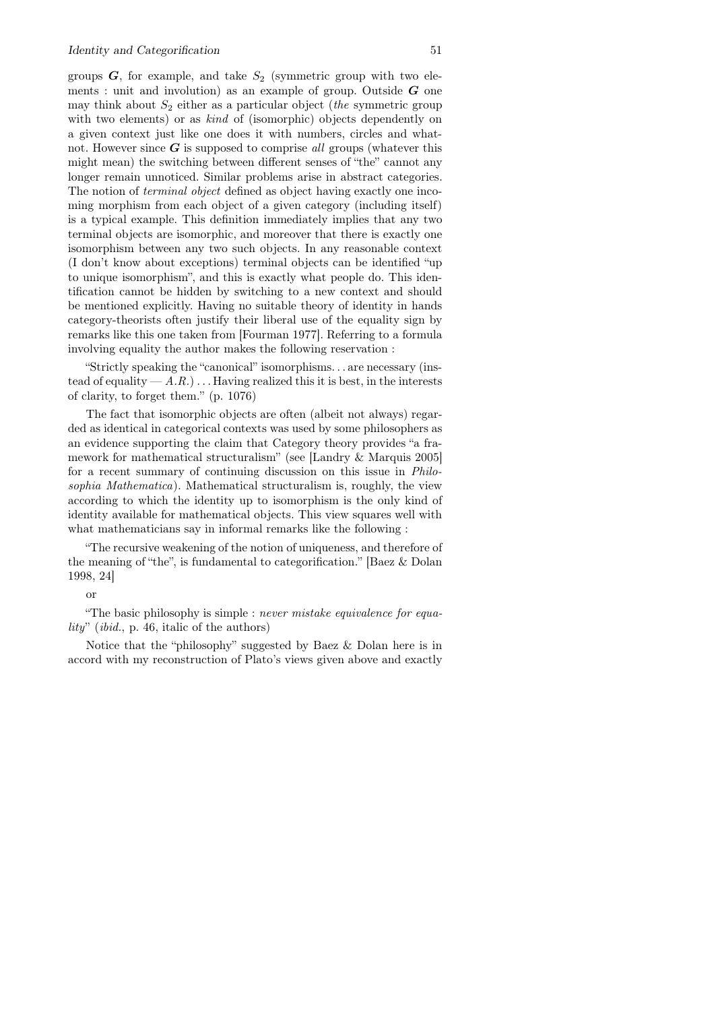groups  $G$ , for example, and take  $S_2$  (symmetric group with two elements : unit and involution) as an example of group. Outside  $G$  one may think about  $S_2$  either as a particular object (*the symmetric group* with two elements) or as *kind* of (isomorphic) objects dependently on a given context just like one does it with numbers, circles and whatnot. However since  $G$  is supposed to comprise all groups (whatever this might mean) the switching between different senses of "the" cannot any longer remain unnoticed. Similar problems arise in abstract categories. The notion of *terminal object* defined as object having exactly one incoming morphism from each object of a given category (including itself) is a typical example. This definition immediately implies that any two terminal objects are isomorphic, and moreover that there is exactly one isomorphism between any two such objects. In any reasonable context (I don't know about exceptions) terminal objects can be identified "up to unique isomorphism", and this is exactly what people do. This identification cannot be hidden by switching to a new context and should be mentioned explicitly. Having no suitable theory of identity in hands category-theorists often justify their liberal use of the equality sign by remarks like this one taken from [Fourman 1977]. Referring to a formula involving equality the author makes the following reservation :

"Strictly speaking the "canonical" isomorphisms. . . are necessary (instead of equality  $-A.R.$ )... Having realized this it is best, in the interests of clarity, to forget them." (p. 1076)

The fact that isomorphic objects are often (albeit not always) regarded as identical in categorical contexts was used by some philosophers as an evidence supporting the claim that Category theory provides "a framework for mathematical structuralism" (see [Landry & Marquis 2005] for a recent summary of continuing discussion on this issue in Philosophia Mathematica). Mathematical structuralism is, roughly, the view according to which the identity up to isomorphism is the only kind of identity available for mathematical objects. This view squares well with what mathematicians say in informal remarks like the following :

"The recursive weakening of the notion of uniqueness, and therefore of the meaning of "the", is fundamental to categorification." [Baez & Dolan 1998, 24]

or

"The basic philosophy is simple : never mistake equivalence for equa $lity"$  (ibid., p. 46, italic of the authors)

Notice that the "philosophy" suggested by Baez & Dolan here is in accord with my reconstruction of Plato's views given above and exactly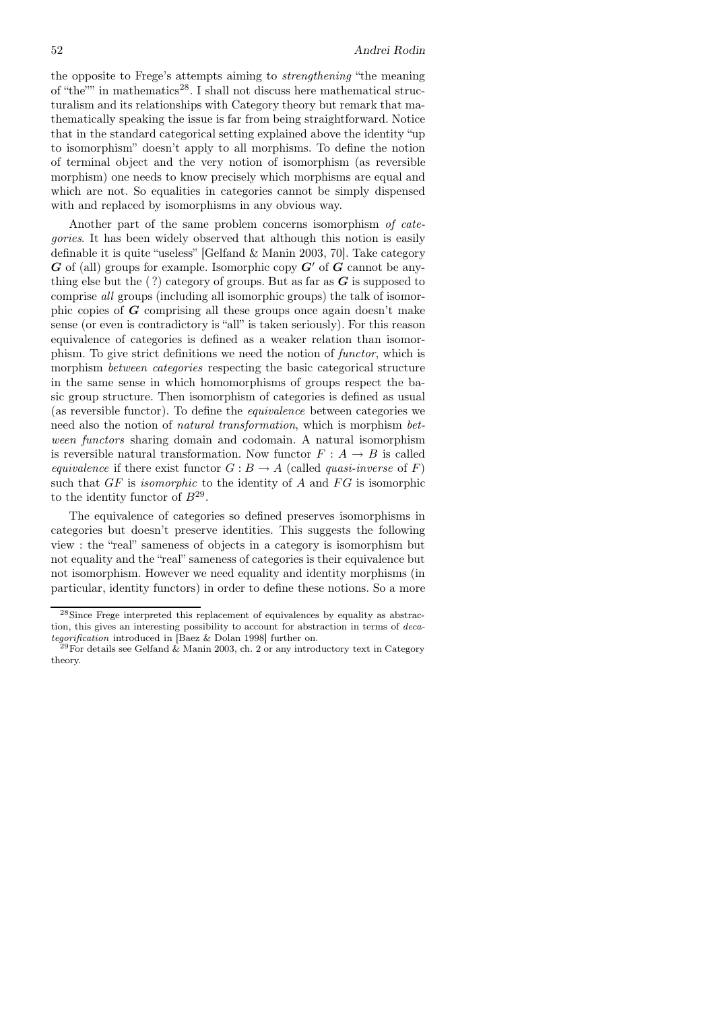the opposite to Frege's attempts aiming to *strengthening* "the meaning" of "the"" in mathematics<sup>28</sup>. I shall not discuss here mathematical structuralism and its relationships with Category theory but remark that mathematically speaking the issue is far from being straightforward. Notice that in the standard categorical setting explained above the identity "up to isomorphism" doesn't apply to all morphisms. To define the notion of terminal object and the very notion of isomorphism (as reversible morphism) one needs to know precisely which morphisms are equal and which are not. So equalities in categories cannot be simply dispensed with and replaced by isomorphisms in any obvious way.

Another part of the same problem concerns isomorphism of categories. It has been widely observed that although this notion is easily definable it is quite "useless" [Gelfand & Manin 2003, 70]. Take category  $G$  of (all) groups for example. Isomorphic copy  $G'$  of  $G$  cannot be anything else but the  $(?)$  category of groups. But as far as  $G$  is supposed to comprise all groups (including all isomorphic groups) the talk of isomorphic copies of  $G$  comprising all these groups once again doesn't make sense (or even is contradictory is "all" is taken seriously). For this reason equivalence of categories is defined as a weaker relation than isomorphism. To give strict definitions we need the notion of functor, which is morphism *between categories* respecting the basic categorical structure in the same sense in which homomorphisms of groups respect the basic group structure. Then isomorphism of categories is defined as usual (as reversible functor). To define the equivalence between categories we need also the notion of *natural transformation*, which is morphism between functors sharing domain and codomain. A natural isomorphism is reversible natural transformation. Now functor  $F : A \rightarrow B$  is called equivalence if there exist functor  $G : B \to A$  (called quasi-inverse of F) such that  $GF$  is *isomorphic* to the identity of  $A$  and  $FG$  is isomorphic to the identity functor of  $B^{29}$ .

The equivalence of categories so defined preserves isomorphisms in categories but doesn't preserve identities. This suggests the following view : the "real" sameness of objects in a category is isomorphism but not equality and the "real" sameness of categories is their equivalence but not isomorphism. However we need equality and identity morphisms (in particular, identity functors) in order to define these notions. So a more

<sup>28</sup>Since Frege interpreted this replacement of equivalences by equality as abstraction, this gives an interesting possibility to account for abstraction in terms of decategorification introduced in [Baez & Dolan 1998] further on.

<sup>&</sup>lt;sup>29</sup> For details see Gelfand & Manin 2003, ch. 2 or any introductory text in Category theory.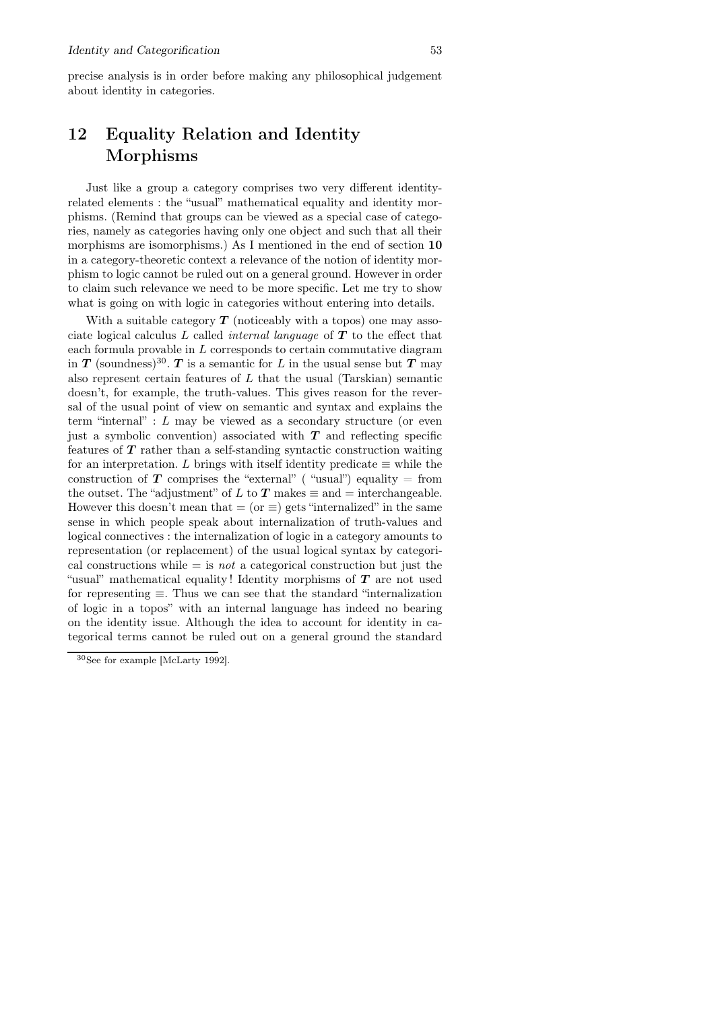precise analysis is in order before making any philosophical judgement about identity in categories.

# 12 Equality Relation and Identity Morphisms

Just like a group a category comprises two very different identityrelated elements : the "usual" mathematical equality and identity morphisms. (Remind that groups can be viewed as a special case of categories, namely as categories having only one object and such that all their morphisms are isomorphisms.) As I mentioned in the end of section 10 in a category-theoretic context a relevance of the notion of identity morphism to logic cannot be ruled out on a general ground. However in order to claim such relevance we need to be more specific. Let me try to show what is going on with logic in categories without entering into details.

With a suitable category  $T$  (noticeably with a topos) one may associate logical calculus  $L$  called *internal language* of  $T$  to the effect that each formula provable in L corresponds to certain commutative diagram in  $T$  (soundness)<sup>30</sup>.  $T$  is a semantic for L in the usual sense but  $T$  may also represent certain features of  $L$  that the usual (Tarskian) semantic doesn't, for example, the truth-values. This gives reason for the reversal of the usual point of view on semantic and syntax and explains the term "internal" :  $L$  may be viewed as a secondary structure (or even just a symbolic convention) associated with  $T$  and reflecting specific features of  $T$  rather than a self-standing syntactic construction waiting for an interpretation. L brings with itself identity predicate  $\equiv$  while the construction of  $\boldsymbol{T}$  comprises the "external" ("usual") equality = from the outset. The "adjustment" of L to T makes  $\equiv$  and  $=$  interchangeable. However this doesn't mean that  $=$  (or  $\equiv$ ) gets "internalized" in the same sense in which people speak about internalization of truth-values and logical connectives : the internalization of logic in a category amounts to representation (or replacement) of the usual logical syntax by categorical constructions while  $=$  is *not* a categorical construction but just the "usual" mathematical equality ! Identity morphisms of  $T$  are not used for representing  $\equiv$ . Thus we can see that the standard "internalization" of logic in a topos" with an internal language has indeed no bearing on the identity issue. Although the idea to account for identity in categorical terms cannot be ruled out on a general ground the standard

<sup>30</sup>See for example [McLarty 1992].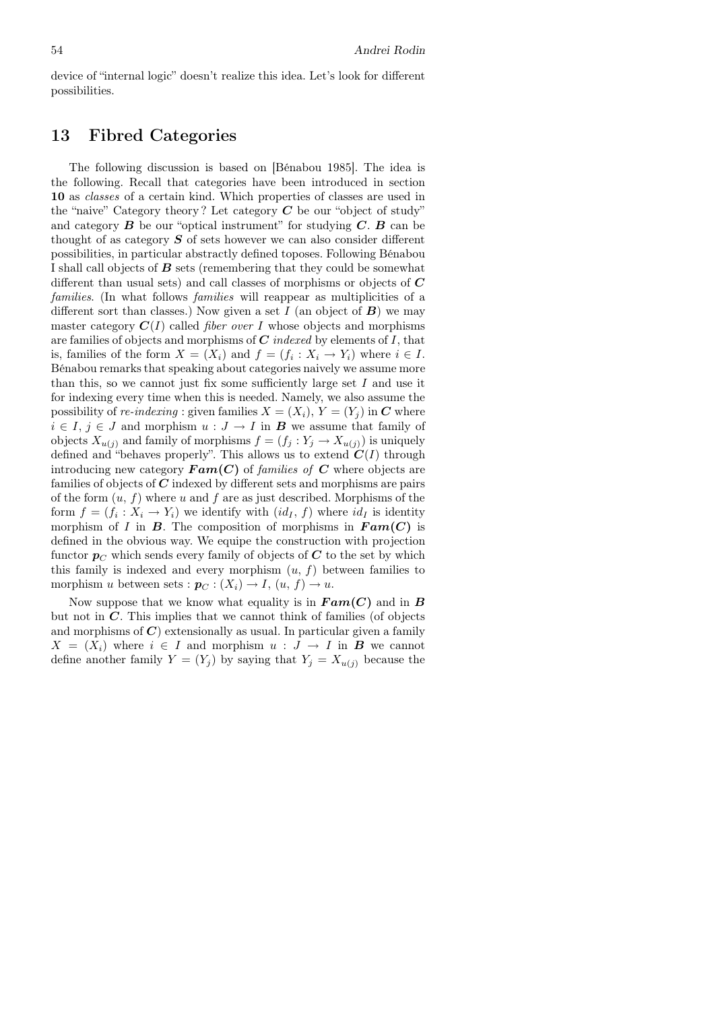device of "internal logic" doesn't realize this idea. Let's look for different possibilities.

### 13 Fibred Categories

The following discussion is based on [Bénabou 1985]. The idea is the following. Recall that categories have been introduced in section 10 as classes of a certain kind. Which properties of classes are used in the "naive" Category theory? Let category  $C$  be our "object of study" and category  $\bm{B}$  be our "optical instrument" for studying  $\bm{C}$ .  $\bm{B}$  can be thought of as category  $S$  of sets however we can also consider different possibilities, in particular abstractly defined toposes. Following Bénabou I shall call objects of  $\bf{B}$  sets (remembering that they could be somewhat different than usual sets) and call classes of morphisms or objects of  $C$ families. (In what follows *families* will reappear as multiplicities of a different sort than classes.) Now given a set I (an object of  $\bf{B}$ ) we may master category  $C(I)$  called *fiber over I* whose objects and morphisms are families of objects and morphisms of  $C$  indexed by elements of  $I$ , that is, families of the form  $X = (X_i)$  and  $f = (f_i : X_i \to Y_i)$  where  $i \in I$ . Bénabou remarks that speaking about categories naively we assume more than this, so we cannot just fix some sufficiently large set  $I$  and use it for indexing every time when this is needed. Namely, we also assume the possibility of re-indexing : given families  $X = (X_i)$ ,  $Y = (Y_i)$  in C where  $i \in I, j \in J$  and morphism  $u : J \to I$  in **B** we assume that family of objects  $X_{u(j)}$  and family of morphisms  $f = (f_i : Y_i \to X_{u(j)})$  is uniquely defined and "behaves properly". This allows us to extend  $C(I)$  through introducing new category  $Fam(C)$  of *families of* C where objects are families of objects of  $C$  indexed by different sets and morphisms are pairs of the form  $(u, f)$  where u and f are as just described. Morphisms of the form  $f = (f_i : X_i \to Y_i)$  we identify with  $(id_I, f)$  where  $id_I$  is identity morphism of I in **B**. The composition of morphisms in  $Fam(C)$  is defined in the obvious way. We equipe the construction with projection functor  $p_{C}$  which sends every family of objects of C to the set by which this family is indexed and every morphism  $(u, f)$  between families to morphism u between sets :  $p_C : (X_i) \to I$ ,  $(u, f) \to u$ .

Now suppose that we know what equality is in  $Fam(C)$  and in B but not in  $C$ . This implies that we cannot think of families (of objects and morphisms of  $C$ ) extensionally as usual. In particular given a family  $X = (X_i)$  where  $i \in I$  and morphism  $u : J \to I$  in **B** we cannot define another family  $Y = (Y_j)$  by saying that  $Y_j = X_{u(j)}$  because the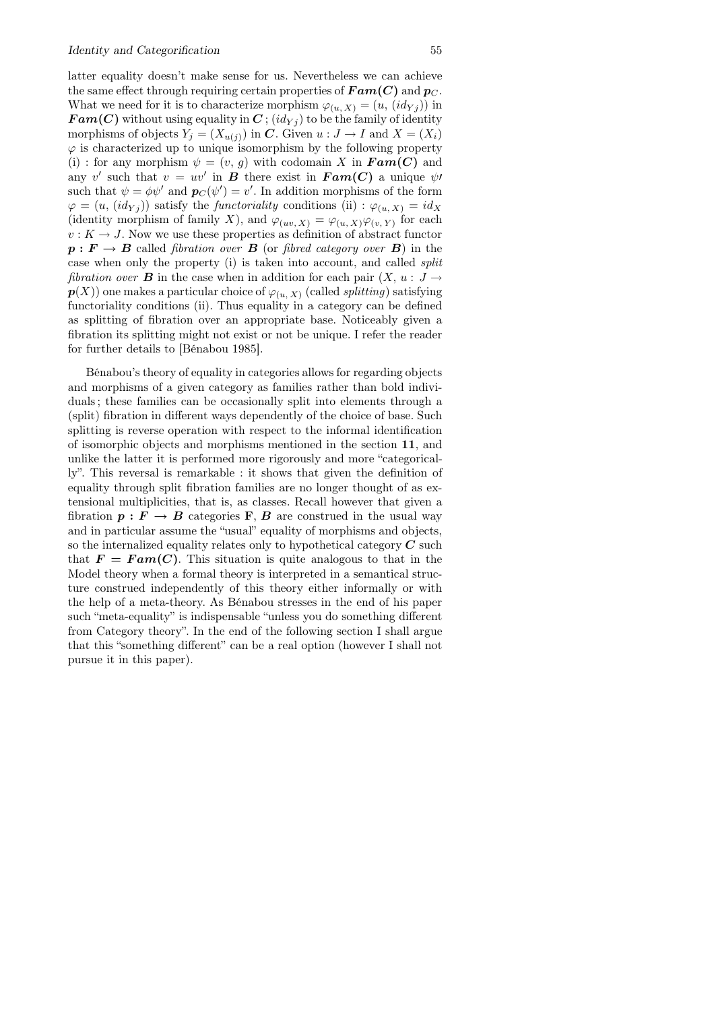latter equality doesn't make sense for us. Nevertheless we can achieve the same effect through requiring certain properties of  $Fam(C)$  and  $p<sub>C</sub>$ . What we need for it is to characterize morphism  $\varphi_{(u, X)} = (u, (id_{Y_i}))$  in  $\text{Fam}(C)$  without using equality in  $C$ ;  $(id_{Y_i})$  to be the family of identity morphisms of objects  $Y_j = (X_{u(j)})$  in C. Given  $u : J \to I$  and  $X = (X_i)$  $\varphi$  is characterized up to unique isomorphism by the following property (i) : for any morphism  $\psi = (v, g)$  with codomain X in  $\text{Fam}(C)$  and any v' such that  $v = uv'$  in **B** there exist in  $\text{Fam}(C)$  a unique  $\psi'$ such that  $\psi = \phi \psi'$  and  $\mathbf{p}_C(\psi') = v'$ . In addition morphisms of the form  $\varphi = (u, (id_{Y_i}))$  satisfy the functoriality conditions (ii) :  $\varphi_{(u, X)} = id_X$ (identity morphism of family X), and  $\varphi_{(uv, X)} = \varphi_{(u, X)} \varphi_{(v, Y)}$  for each  $v: K \to J$ . Now we use these properties as definition of abstract functor  $p: F \to B$  called *fibration over* **B** (or *fibred category over* **B**) in the case when only the property (i) is taken into account, and called split fibration over **B** in the case when in addition for each pair  $(X, u: J \to$  $p(X)$  one makes a particular choice of  $\varphi_{(u, X)}$  (called *splitting*) satisfying functoriality conditions (ii). Thus equality in a category can be defined as splitting of fibration over an appropriate base. Noticeably given a fibration its splitting might not exist or not be unique. I refer the reader for further details to [Bénabou 1985].

Bénabou's theory of equality in categories allows for regarding objects and morphisms of a given category as families rather than bold individuals ; these families can be occasionally split into elements through a (split) fibration in different ways dependently of the choice of base. Such splitting is reverse operation with respect to the informal identification of isomorphic objects and morphisms mentioned in the section 11, and unlike the latter it is performed more rigorously and more "categorically". This reversal is remarkable : it shows that given the definition of equality through split fibration families are no longer thought of as extensional multiplicities, that is, as classes. Recall however that given a fibration  $p: F \to B$  categories F, B are construed in the usual way and in particular assume the "usual" equality of morphisms and objects, so the internalized equality relates only to hypothetical category  $C$  such that  $F = Fam(C)$ . This situation is quite analogous to that in the Model theory when a formal theory is interpreted in a semantical structure construed independently of this theory either informally or with the help of a meta-theory. As Bénabou stresses in the end of his paper such "meta-equality" is indispensable "unless you do something different from Category theory". In the end of the following section I shall argue that this "something different" can be a real option (however I shall not pursue it in this paper).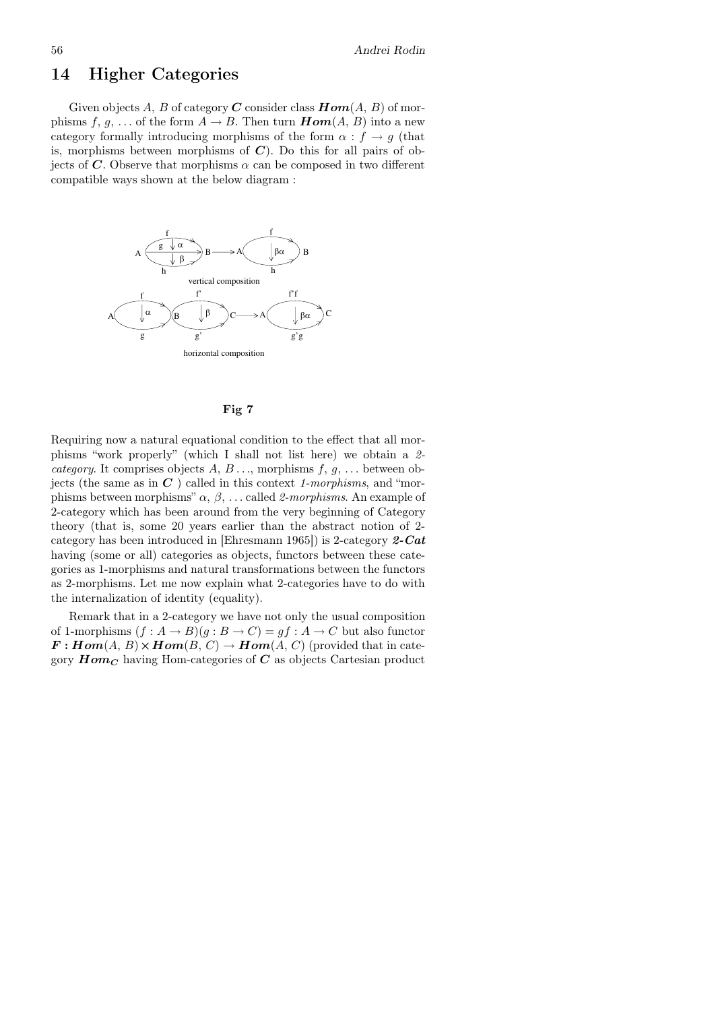### 14 Higher Categories

Given objects A, B of category C consider class  $\mathbf{Hom}(A, B)$  of morphisms f, g, ... of the form  $A \to B$ . Then turn  $\text{Hom}(A, B)$  into a new category formally introducing morphisms of the form  $\alpha : f \to g$  (that is, morphisms between morphisms of  $C$ ). Do this for all pairs of objects of C. Observe that morphisms  $\alpha$  can be composed in two different compatible ways shown at the below diagram :



#### Fig 7

Requiring now a natural equational condition to the effect that all morphisms "work properly" (which I shall not list here) we obtain a 2 category. It comprises objects A, B ..., morphisms  $f, g, \ldots$  between objects (the same as in  $C$ ) called in this context 1-morphisms, and "morphisms between morphisms"  $\alpha$ ,  $\beta$ , ... called 2-morphisms. An example of 2-category which has been around from the very beginning of Category theory (that is, some 20 years earlier than the abstract notion of 2 category has been introduced in [Ehresmann 1965]) is 2-category  $2\text{-}Cat$ having (some or all) categories as objects, functors between these categories as 1-morphisms and natural transformations between the functors as 2-morphisms. Let me now explain what 2-categories have to do with the internalization of identity (equality).

Remark that in a 2-category we have not only the usual composition of 1-morphisms  $(f : A \to B)(g : B \to C) = gf : A \to C$  but also functor  $\mathbf{F} : \mathbf{Hom}(A, B) \times \mathbf{Hom}(B, C) \to \mathbf{Hom}(A, C)$  (provided that in category  $Hom_C$  having Hom-categories of C as objects Cartesian product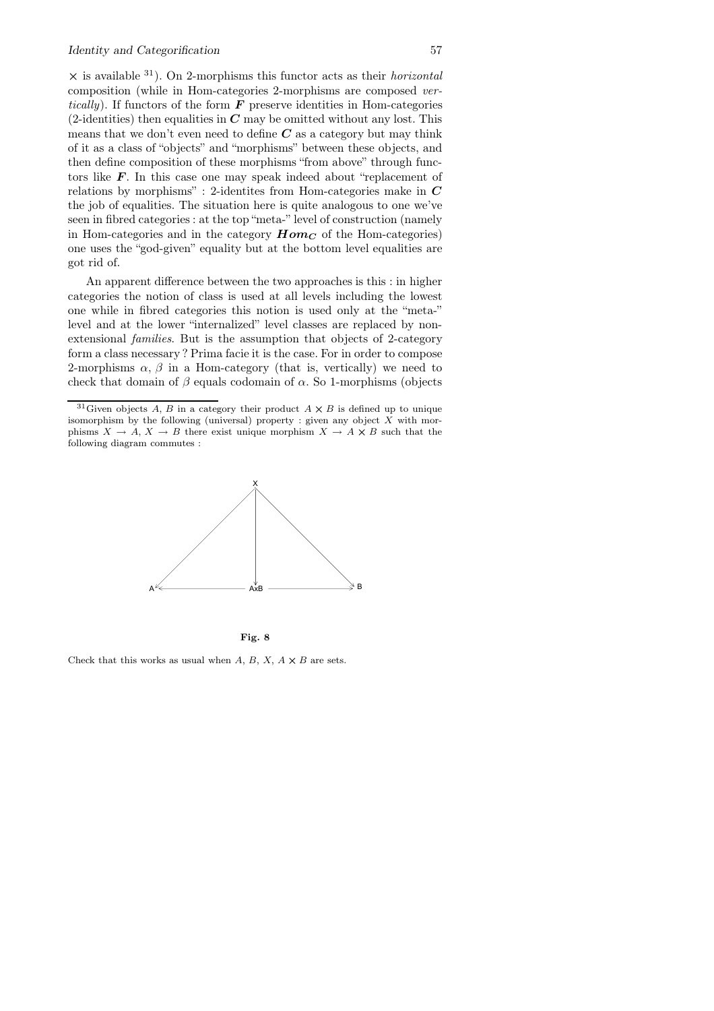$\times$  is available <sup>31</sup>). On 2-morphisms this functor acts as their *horizontal* composition (while in Hom-categories 2-morphisms are composed vertically). If functors of the form  $\bf{F}$  preserve identities in Hom-categories (2-identities) then equalities in  $C$  may be omitted without any lost. This means that we don't even need to define  $C$  as a category but may think of it as a class of "objects" and "morphisms" between these objects, and then define composition of these morphisms "from above" through functors like  $\boldsymbol{F}$ . In this case one may speak indeed about "replacement of relations by morphisms" : 2-identites from Hom-categories make in  $C$ the job of equalities. The situation here is quite analogous to one we've seen in fibred categories : at the top "meta-" level of construction (namely in Hom-categories and in the category  $Hom_C$  of the Hom-categories) one uses the "god-given" equality but at the bottom level equalities are got rid of.

An apparent difference between the two approaches is this : in higher categories the notion of class is used at all levels including the lowest one while in fibred categories this notion is used only at the "meta-" level and at the lower "internalized" level classes are replaced by nonextensional families. But is the assumption that objects of 2-category form a class necessary ? Prima facie it is the case. For in order to compose 2-morphisms  $\alpha$ ,  $\beta$  in a Hom-category (that is, vertically) we need to check that domain of  $\beta$  equals codomain of  $\alpha$ . So 1-morphisms (objects

<sup>&</sup>lt;sup>31</sup>Given objects A, B in a category their product  $A \times B$  is defined up to unique isomorphism by the following (universal) property : given any object  $X$  with morphisms  $X \to A$ ,  $X \to B$  there exist unique morphism  $X \to A \times B$  such that the following diagram commutes :



Fig. 8

Check that this works as usual when  $A, B, X, A \times B$  are sets.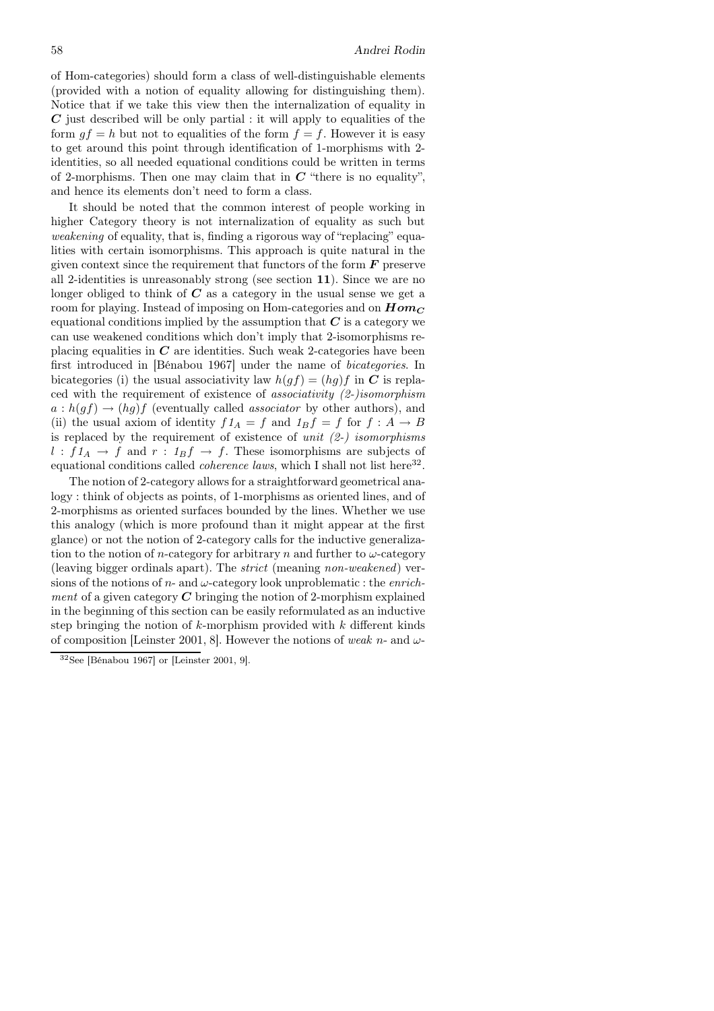of Hom-categories) should form a class of well-distinguishable elements (provided with a notion of equality allowing for distinguishing them). Notice that if we take this view then the internalization of equality in  $C$  just described will be only partial : it will apply to equalities of the form  $gf = h$  but not to equalities of the form  $f = f$ . However it is easy to get around this point through identification of 1-morphisms with 2 identities, so all needed equational conditions could be written in terms of 2-morphisms. Then one may claim that in  $C$  "there is no equality", and hence its elements don't need to form a class.

It should be noted that the common interest of people working in higher Category theory is not internalization of equality as such but weakening of equality, that is, finding a rigorous way of "replacing" equalities with certain isomorphisms. This approach is quite natural in the given context since the requirement that functors of the form  $\bm{F}$  preserve all 2-identities is unreasonably strong (see section 11). Since we are no longer obliged to think of  $C$  as a category in the usual sense we get a room for playing. Instead of imposing on Hom-categories and on  $Hom_C$ equational conditions implied by the assumption that  $C$  is a category we can use weakened conditions which don't imply that 2-isomorphisms replacing equalities in  $C$  are identities. Such weak 2-categories have been first introduced in [Bénabou 1967] under the name of *bicategories*. In bicategories (i) the usual associativity law  $h(qf) = (hq)f$  in C is replaced with the requirement of existence of associativity  $(2-)isomorphism$  $a : h(qf) \rightarrow (hq)f$  (eventually called *associator* by other authors), and (ii) the usual axiom of identity  $f1_A = f$  and  $1_B f = f$  for  $f : A \rightarrow B$ is replaced by the requirement of existence of unit  $(2-)$  isomorphisms  $l : f1_A \rightarrow f$  and  $r : 1_B f \rightarrow f$ . These isomorphisms are subjects of equational conditions called *coherence laws*, which I shall not list here<sup>32</sup>.

The notion of 2-category allows for a straightforward geometrical analogy : think of objects as points, of 1-morphisms as oriented lines, and of 2-morphisms as oriented surfaces bounded by the lines. Whether we use this analogy (which is more profound than it might appear at the first glance) or not the notion of 2-category calls for the inductive generalization to the notion of *n*-category for arbitrary *n* and further to  $\omega$ -category (leaving bigger ordinals apart). The strict (meaning non-weakened) versions of the notions of n- and  $\omega$ -category look unproblematic : the *enrich*ment of a given category  $C$  bringing the notion of 2-morphism explained in the beginning of this section can be easily reformulated as an inductive step bringing the notion of  $k$ -morphism provided with  $k$  different kinds of composition [Leinster 2001, 8]. However the notions of weak n- and  $\omega$ -

 $32$ See [Bénabou 1967] or [Leinster 2001, 9].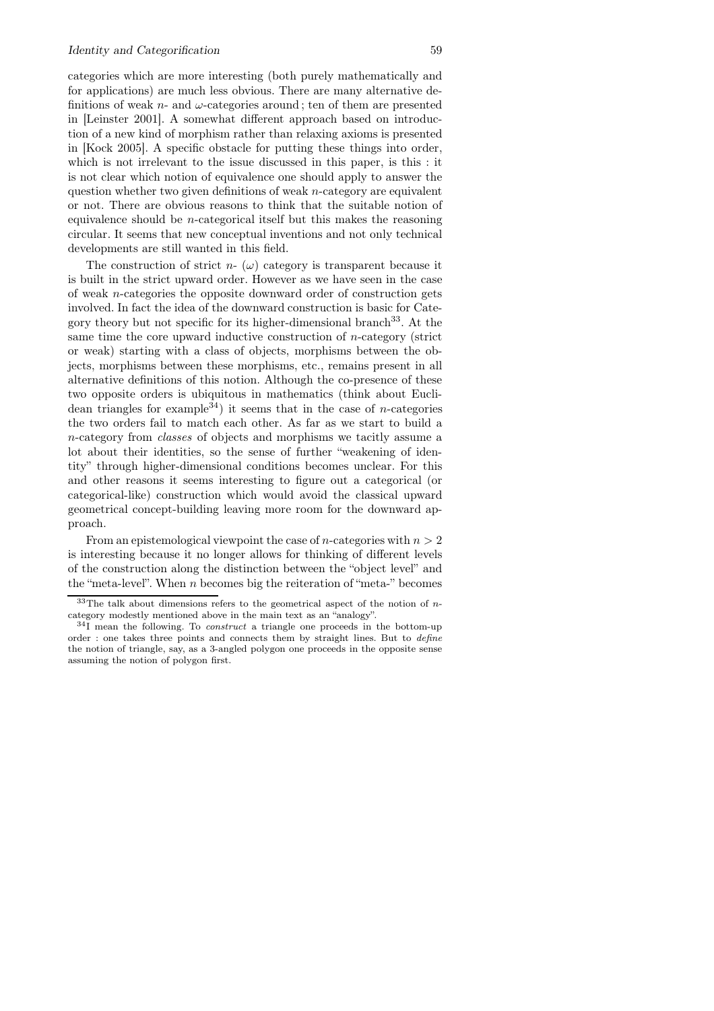categories which are more interesting (both purely mathematically and for applications) are much less obvious. There are many alternative definitions of weak *n*- and  $\omega$ -categories around; ten of them are presented in [Leinster 2001]. A somewhat different approach based on introduction of a new kind of morphism rather than relaxing axioms is presented in [Kock 2005]. A specific obstacle for putting these things into order, which is not irrelevant to the issue discussed in this paper, is this : it is not clear which notion of equivalence one should apply to answer the question whether two given definitions of weak n-category are equivalent or not. There are obvious reasons to think that the suitable notion of equivalence should be n-categorical itself but this makes the reasoning circular. It seems that new conceptual inventions and not only technical developments are still wanted in this field.

The construction of strict n-  $(\omega)$  category is transparent because it is built in the strict upward order. However as we have seen in the case of weak n-categories the opposite downward order of construction gets involved. In fact the idea of the downward construction is basic for Category theory but not specific for its higher-dimensional branch33. At the same time the core upward inductive construction of  $n$ -category (strict) or weak) starting with a class of objects, morphisms between the objects, morphisms between these morphisms, etc., remains present in all alternative definitions of this notion. Although the co-presence of these two opposite orders is ubiquitous in mathematics (think about Euclidean triangles for example<sup>34</sup>) it seems that in the case of *n*-categories the two orders fail to match each other. As far as we start to build a n-category from classes of objects and morphisms we tacitly assume a lot about their identities, so the sense of further "weakening of identity" through higher-dimensional conditions becomes unclear. For this and other reasons it seems interesting to figure out a categorical (or categorical-like) construction which would avoid the classical upward geometrical concept-building leaving more room for the downward approach.

From an epistemological viewpoint the case of *n*-categories with  $n > 2$ is interesting because it no longer allows for thinking of different levels of the construction along the distinction between the "object level" and the "meta-level". When  $n$  becomes big the reiteration of "meta-" becomes

 $33$ The talk about dimensions refers to the geometrical aspect of the notion of ncategory modestly mentioned above in the main text as an "analogy".

 $34$ I mean the following. To *construct* a triangle one proceeds in the bottom-up order : one takes three points and connects them by straight lines. But to define the notion of triangle, say, as a 3-angled polygon one proceeds in the opposite sense assuming the notion of polygon first.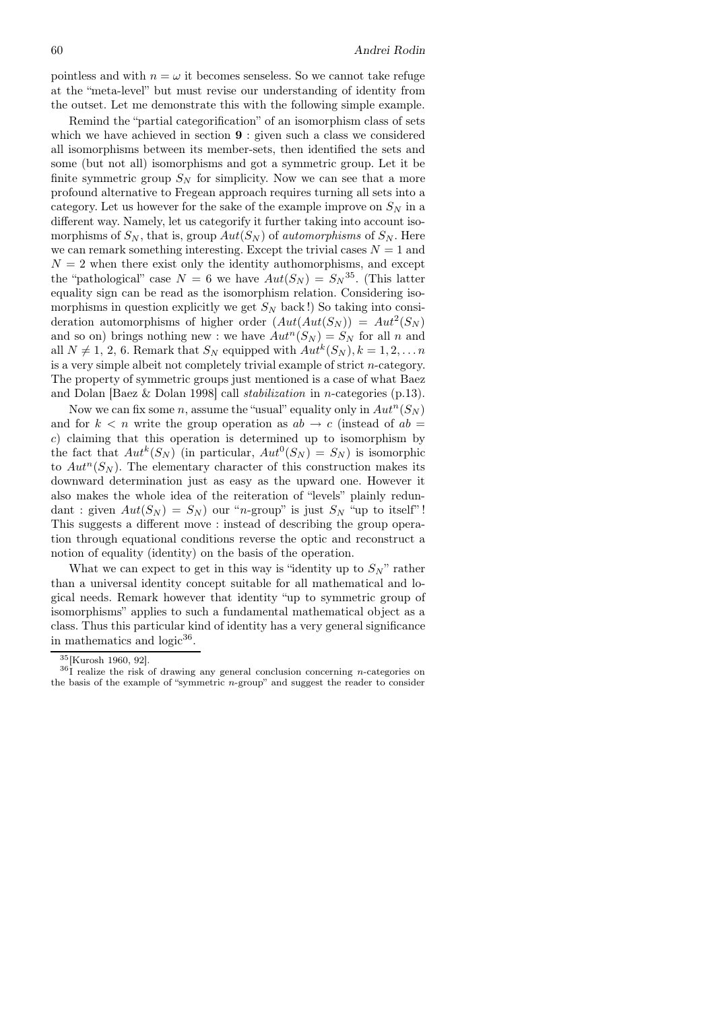pointless and with  $n = \omega$  it becomes senseless. So we cannot take refuge at the "meta-level" but must revise our understanding of identity from the outset. Let me demonstrate this with the following simple example.

Remind the "partial categorification" of an isomorphism class of sets which we have achieved in section **9** : given such a class we considered all isomorphisms between its member-sets, then identified the sets and some (but not all) isomorphisms and got a symmetric group. Let it be finite symmetric group  $S_N$  for simplicity. Now we can see that a more profound alternative to Fregean approach requires turning all sets into a category. Let us however for the sake of the example improve on  $S_N$  in a different way. Namely, let us categorify it further taking into account isomorphisms of  $S_N$ , that is, group  $Aut(S_N)$  of *automorphisms* of  $S_N$ . Here we can remark something interesting. Except the trivial cases  $N = 1$  and  $N = 2$  when there exist only the identity authomorphisms, and except the "pathological" case  $N = 6$  we have  $Aut(S_N) = S_N^{35}$ . (This latter equality sign can be read as the isomorphism relation. Considering isomorphisms in question explicitly we get  $S_N$  back!) So taking into consideration automorphisms of higher order  $(Aut(Aut(S_N)) = Aut^2(S_N))$ and so on) brings nothing new : we have  $Aut^n(S_N) = S_N$  for all n and all  $N \neq 1, 2, 6$ . Remark that  $S_N$  equipped with  $Aut^k(S_N), k = 1, 2, \ldots n$ is a very simple albeit not completely trivial example of strict n-category. The property of symmetric groups just mentioned is a case of what Baez and Dolan [Baez & Dolan 1998] call stabilization in n-categories (p.13).

Now we can fix some n, assume the "usual" equality only in  $Aut^n(S_N)$ and for  $k < n$  write the group operation as  $ab \rightarrow c$  (instead of  $ab =$  $c)$  claiming that this operation is determined up to isomorphism by the fact that  $Aut^k(S_N)$  (in particular,  $Aut^0(S_N) = S_N$ ) is isomorphic to  $Aut^{n}(S_{N})$ . The elementary character of this construction makes its downward determination just as easy as the upward one. However it also makes the whole idea of the reiteration of "levels" plainly redundant : given  $Aut(S_N) = S_N$  our "*n*-group" is just  $S_N$  "up to itself"! This suggests a different move : instead of describing the group operation through equational conditions reverse the optic and reconstruct a notion of equality (identity) on the basis of the operation.

What we can expect to get in this way is "identity up to  $S_N$ " rather than a universal identity concept suitable for all mathematical and logical needs. Remark however that identity "up to symmetric group of isomorphisms" applies to such a fundamental mathematical object as a class. Thus this particular kind of identity has a very general significance in mathematics and logic<sup>36</sup>.

<sup>35</sup>[Kurosh 1960, 92].

 $36\text{I}$  realize the risk of drawing any general conclusion concerning *n*-categories on the basis of the example of "symmetric n-group" and suggest the reader to consider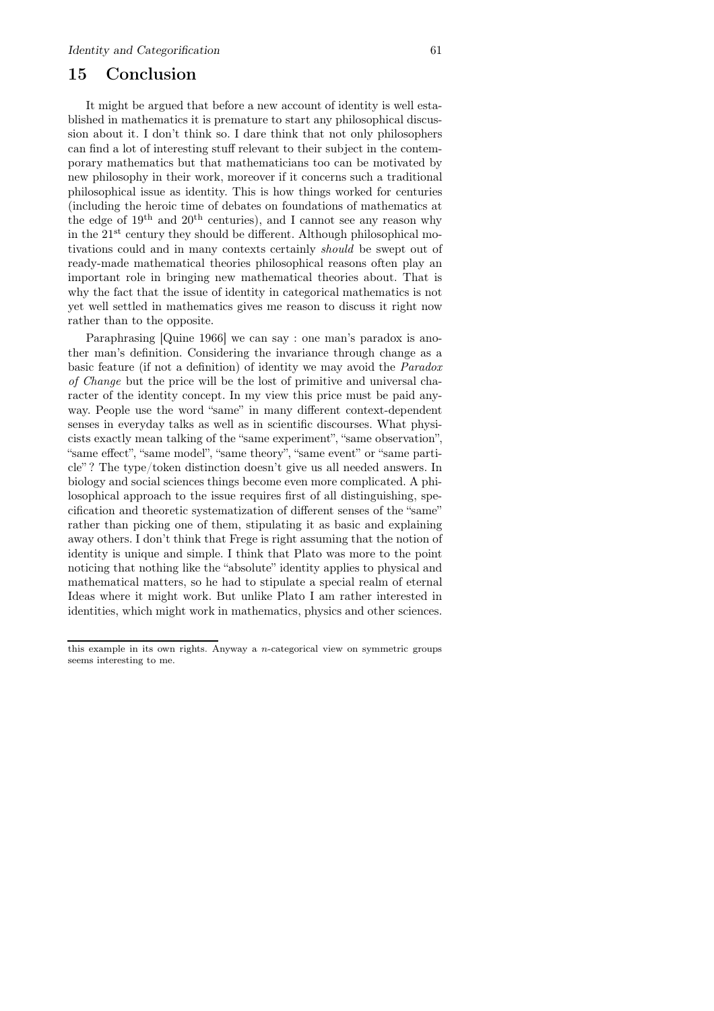### 15 Conclusion

It might be argued that before a new account of identity is well established in mathematics it is premature to start any philosophical discussion about it. I don't think so. I dare think that not only philosophers can find a lot of interesting stuff relevant to their subject in the contemporary mathematics but that mathematicians too can be motivated by new philosophy in their work, moreover if it concerns such a traditional philosophical issue as identity. This is how things worked for centuries (including the heroic time of debates on foundations of mathematics at the edge of  $19<sup>th</sup>$  and  $20<sup>th</sup>$  centuries), and I cannot see any reason why in the  $21<sup>st</sup>$  century they should be different. Although philosophical motivations could and in many contexts certainly should be swept out of ready-made mathematical theories philosophical reasons often play an important role in bringing new mathematical theories about. That is why the fact that the issue of identity in categorical mathematics is not yet well settled in mathematics gives me reason to discuss it right now rather than to the opposite.

Paraphrasing [Quine 1966] we can say : one man's paradox is another man's definition. Considering the invariance through change as a basic feature (if not a definition) of identity we may avoid the Paradox of Change but the price will be the lost of primitive and universal character of the identity concept. In my view this price must be paid anyway. People use the word "same" in many different context-dependent senses in everyday talks as well as in scientific discourses. What physicists exactly mean talking of the "same experiment", "same observation", "same effect", "same model", "same theory", "same event" or "same particle" ? The type/token distinction doesn't give us all needed answers. In biology and social sciences things become even more complicated. A philosophical approach to the issue requires first of all distinguishing, specification and theoretic systematization of different senses of the "same" rather than picking one of them, stipulating it as basic and explaining away others. I don't think that Frege is right assuming that the notion of identity is unique and simple. I think that Plato was more to the point noticing that nothing like the "absolute" identity applies to physical and mathematical matters, so he had to stipulate a special realm of eternal Ideas where it might work. But unlike Plato I am rather interested in identities, which might work in mathematics, physics and other sciences.

this example in its own rights. Anyway a n-categorical view on symmetric groups seems interesting to me.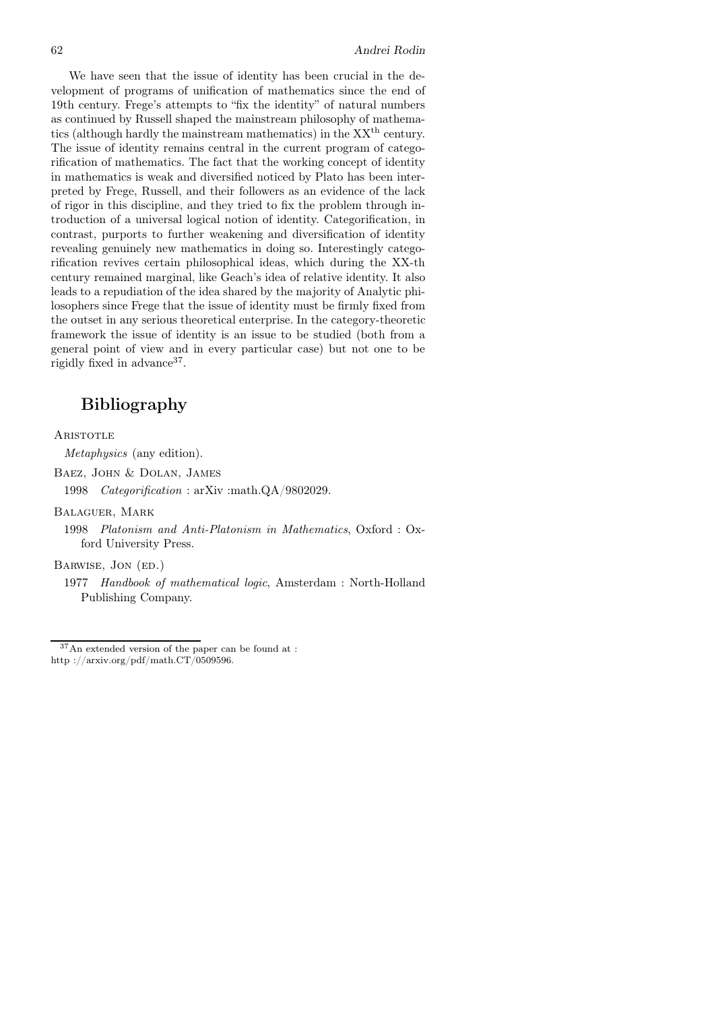We have seen that the issue of identity has been crucial in the development of programs of unification of mathematics since the end of 19th century. Frege's attempts to "fix the identity" of natural numbers as continued by Russell shaped the mainstream philosophy of mathematics (although hardly the mainstream mathematics) in the XXth century. The issue of identity remains central in the current program of categorification of mathematics. The fact that the working concept of identity in mathematics is weak and diversified noticed by Plato has been interpreted by Frege, Russell, and their followers as an evidence of the lack of rigor in this discipline, and they tried to fix the problem through introduction of a universal logical notion of identity. Categorification, in contrast, purports to further weakening and diversification of identity revealing genuinely new mathematics in doing so. Interestingly categorification revives certain philosophical ideas, which during the XX-th century remained marginal, like Geach's idea of relative identity. It also leads to a repudiation of the idea shared by the majority of Analytic philosophers since Frege that the issue of identity must be firmly fixed from the outset in any serious theoretical enterprise. In the category-theoretic framework the issue of identity is an issue to be studied (both from a general point of view and in every particular case) but not one to be rigidly fixed in advance<sup>37</sup>.

# Bibliography

**ARISTOTLE** 

Metaphysics (any edition).

Baez, John & Dolan, James

1998  $Categorification: arXiv: math.QA/9802029.$ 

Balaguer, Mark

1998 Platonism and Anti-Platonism in Mathematics, Oxford : Oxford University Press.

Barwise, Jon (ed.)

1977 Handbook of mathematical logic, Amsterdam : North-Holland Publishing Company.

<sup>37</sup>An extended version of the paper can be found at : http ://arxiv.org/pdf/math.CT/0509596.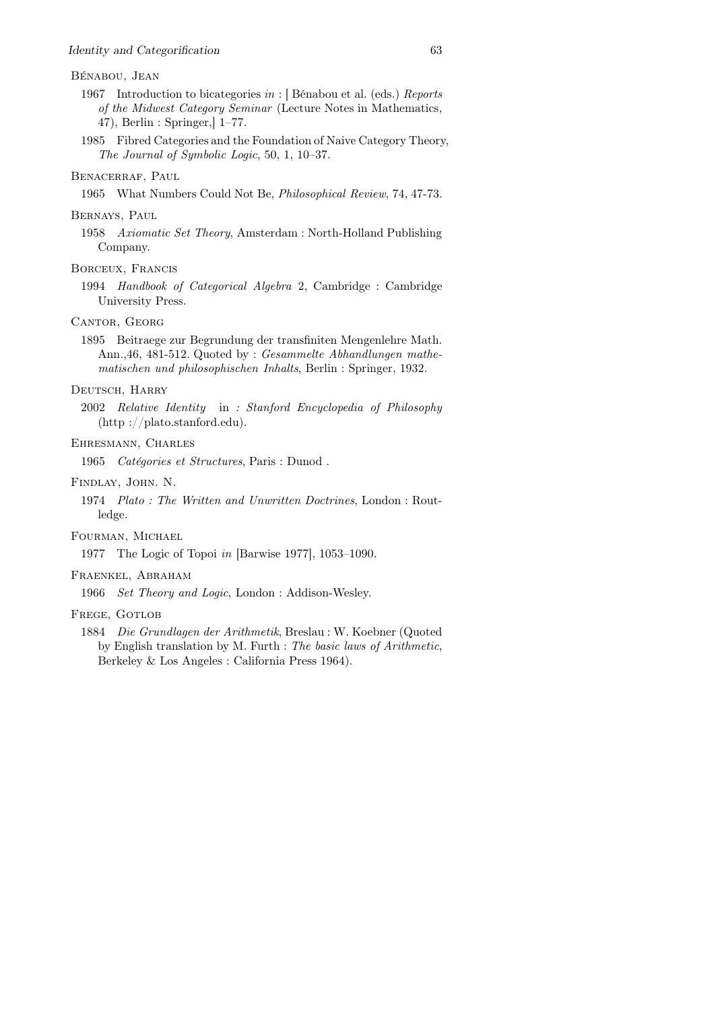#### Bénabou, Jean

- 1967 Introduction to bicategories in : [Bénabou et al. (eds.) Reports of the Midwest Category Seminar (Lecture Notes in Mathematics, 47), Berlin : Springer,] 1–77.
- 1985 Fibred Categories and the Foundation of Naive Category Theory, The Journal of Symbolic Logic, 50, 1, 10–37.
- Benacerraf, Paul

1965 What Numbers Could Not Be, Philosophical Review, 74, 47-73.

- Bernays, Paul
	- 1958 Axiomatic Set Theory, Amsterdam : North-Holland Publishing Company.
- Borceux, Francis
	- 1994 Handbook of Categorical Algebra 2, Cambridge : Cambridge University Press.

CANTOR, GEORG

1895 Beitraege zur Begrundung der transfiniten Mengenlehre Math. Ann.,46, 481-512. Quoted by : Gesammelte Abhandlungen mathematischen und philosophischen Inhalts, Berlin : Springer, 1932.

### Deutsch, Harry

- 2002 Relative Identity in : Stanford Encyclopedia of Philosophy (http ://plato.stanford.edu).
- Ehresmann, Charles

1965 Catégories et Structures, Paris : Dunod .

### Findlay, John. N.

- 1974 Plato : The Written and Unwritten Doctrines, London : Routledge.
- Fourman, Michael

1977 The Logic of Topoi in [Barwise 1977], 1053–1090.

### Fraenkel, Abraham

1966 Set Theory and Logic, London : Addison-Wesley.

- FREGE, GOTLOB
	- 1884 Die Grundlagen der Arithmetik, Breslau : W. Koebner (Quoted by English translation by M. Furth : The basic laws of Arithmetic, Berkeley & Los Angeles : California Press 1964).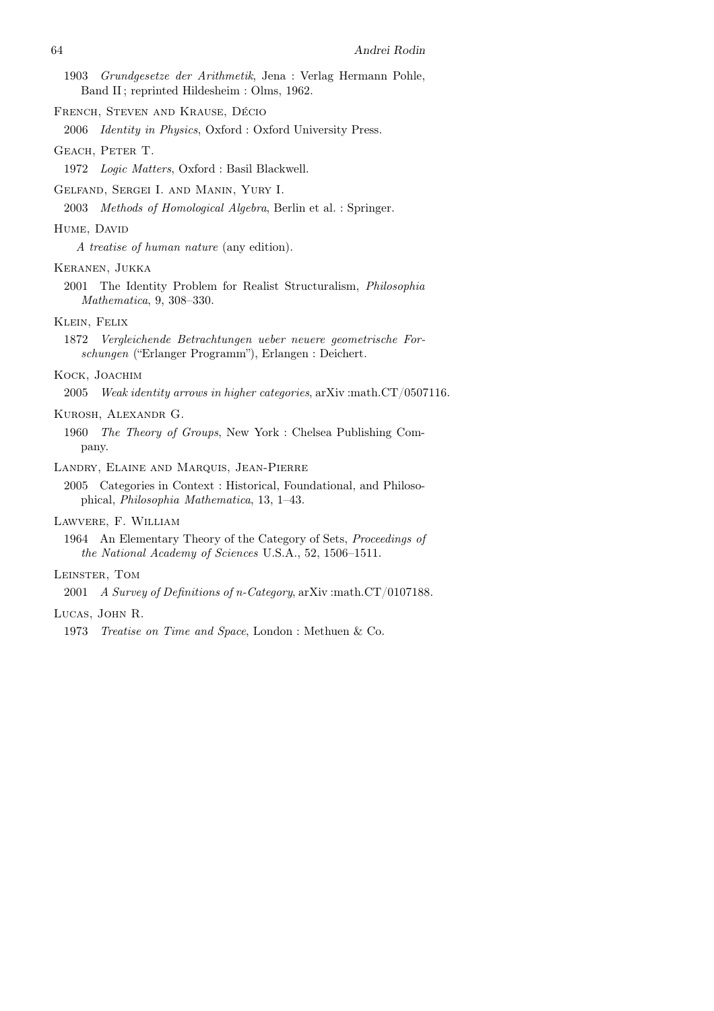- 1903 Grundgesetze der Arithmetik, Jena : Verlag Hermann Pohle, Band II ; reprinted Hildesheim : Olms, 1962.
- French, Steven and Krause, Décio

2006 Identity in Physics, Oxford : Oxford University Press.

Geach, Peter T.

1972 Logic Matters, Oxford : Basil Blackwell.

Gelfand, Sergei I. and Manin, Yury I.

2003 Methods of Homological Algebra, Berlin et al. : Springer.

### HUME, DAVID

A treatise of human nature (any edition).

#### Keranen, Jukka

2001 The Identity Problem for Realist Structuralism, Philosophia Mathematica, 9, 308–330.

### Klein, Felix

1872 Vergleichende Betrachtungen ueber neuere geometrische Forschungen ("Erlanger Programm"), Erlangen : Deichert.

### Kock, Joachim

2005 Weak identity arrows in higher categories, arXiv :math.CT/0507116.

#### Kurosh, Alexandr G.

1960 The Theory of Groups, New York : Chelsea Publishing Company.

#### Landry, Elaine and Marquis, Jean-Pierre

2005 Categories in Context : Historical, Foundational, and Philosophical, Philosophia Mathematica, 13, 1–43.

### Lawvere, F. William

1964 An Elementary Theory of the Category of Sets, Proceedings of the National Academy of Sciences U.S.A., 52, 1506–1511.

### Leinster, Tom

2001 A Survey of Definitions of n-Category, arXiv :math.CT/0107188.

#### Lucas, John R.

1973 Treatise on Time and Space, London : Methuen & Co.